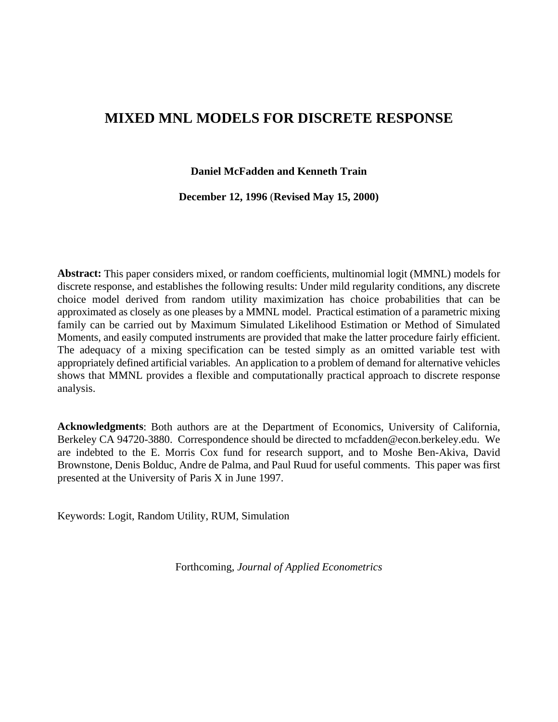## **MIXED MNL MODELS FOR DISCRETE RESPONSE**

**Daniel McFadden and Kenneth Train**

**December 12, 1996** (**Revised May 15, 2000)**

**Abstract:** This paper considers mixed, or random coefficients, multinomial logit (MMNL) models for discrete response, and establishes the following results: Under mild regularity conditions, any discrete choice model derived from random utility maximization has choice probabilities that can be approximated as closely as one pleases by a MMNL model. Practical estimation of a parametric mixing family can be carried out by Maximum Simulated Likelihood Estimation or Method of Simulated Moments, and easily computed instruments are provided that make the latter procedure fairly efficient. The adequacy of a mixing specification can be tested simply as an omitted variable test with appropriately defined artificial variables. An application to a problem of demand for alternative vehicles shows that MMNL provides a flexible and computationally practical approach to discrete response analysis.

**Acknowledgments**: Both authors are at the Department of Economics, University of California, Berkeley CA 94720-3880. Correspondence should be directed to mcfadden@econ.berkeley.edu. We are indebted to the E. Morris Cox fund for research support, and to Moshe Ben-Akiva, David Brownstone, Denis Bolduc, Andre de Palma, and Paul Ruud for useful comments. This paper was first presented at the University of Paris X in June 1997.

Keywords: Logit, Random Utility, RUM, Simulation

Forthcoming, *Journal of Applied Econometrics*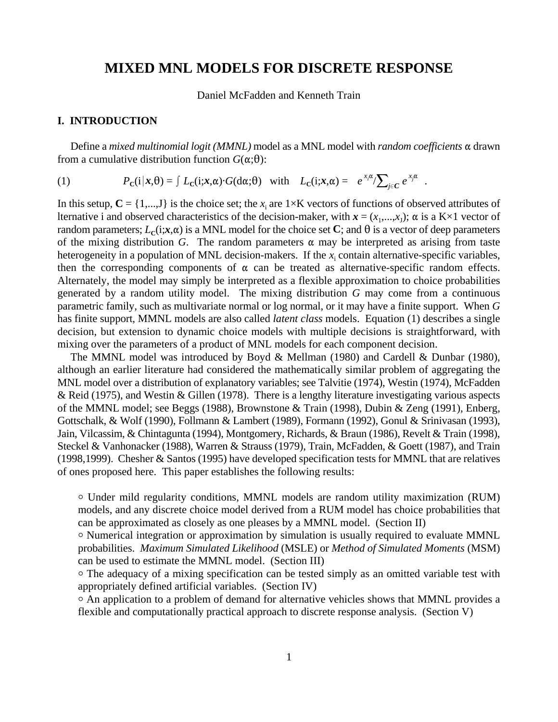### **MIXED MNL MODELS FOR DISCRETE RESPONSE**

Daniel McFadden and Kenneth Train

#### **I. INTRODUCTION**

Define a *mixed multinomial logit (MMNL)* model as a MNL model with *random coefficients*  $\alpha$  drawn from a cumulative distribution function  $G(\alpha;\theta)$ :

(1) 
$$
P_{\mathbf{C}}(\mathbf{i}|\mathbf{x},\theta) = \int L_{\mathbf{C}}(\mathbf{i};\mathbf{x},\alpha)\cdot G(\mathbf{d}\alpha;\theta) \text{ with } L_{\mathbf{C}}(\mathbf{i};\mathbf{x},\alpha) = e^{x_i\alpha}/\sum_{j\in\mathbf{C}} e^{x_j\alpha}.
$$

In this setup,  $\mathbf{C} = \{1,...,J\}$  is the choice set; the  $x_i$  are  $1 \times K$  vectors of functions of observed attributes of lternative i and observed characteristics of the decision-maker, with  $x = (x_1, ..., x_n)$ ;  $\alpha$  is a K×1 vector of random parameters;  $L_c(i; x, \alpha)$  is a MNL model for the choice set C; and  $\theta$  is a vector of deep parameters of the mixing distribution *G*. The random parameters  $\alpha$  may be interpreted as arising from taste heterogeneity in a population of MNL decision-makers. If the  $x_i$  contain alternative-specific variables, then the corresponding components of  $\alpha$  can be treated as alternative-specific random effects. Alternately, the model may simply be interpreted as a flexible approximation to choice probabilities generated by a random utility model. The mixing distribution *G* may come from a continuous parametric family, such as multivariate normal or log normal, or it may have a finite support. When *G* has finite support, MMNL models are also called *latent class* models. Equation (1) describes a single decision, but extension to dynamic choice models with multiple decisions is straightforward, with mixing over the parameters of a product of MNL models for each component decision.

The MMNL model was introduced by Boyd & Mellman (1980) and Cardell & Dunbar (1980), although an earlier literature had considered the mathematically similar problem of aggregating the MNL model over a distribution of explanatory variables; see Talvitie (1974), Westin (1974), McFadden & Reid (1975), and Westin & Gillen (1978). There is a lengthy literature investigating various aspects of the MMNL model; see Beggs (1988), Brownstone & Train (1998), Dubin & Zeng (1991), Enberg, Gottschalk, & Wolf (1990), Follmann & Lambert (1989), Formann (1992), Gonul & Srinivasan (1993), Jain, Vilcassim, & Chintagunta (1994), Montgomery, Richards, & Braun (1986), Revelt & Train (1998), Steckel & Vanhonacker (1988), Warren & Strauss (1979), Train*,* McFadden, & Goett (1987), and Train (1998,1999). Chesher & Santos (1995) have developed specification tests for MMNL that are relatives of ones proposed here. This paper establishes the following results:

1 Under mild regularity conditions, MMNL models are random utility maximization (RUM) models, and any discrete choice model derived from a RUM model has choice probabilities that can be approximated as closely as one pleases by a MMNL model. (Section II)

1 Numerical integration or approximation by simulation is usually required to evaluate MMNL probabilities. *Maximum Simulated Likelihood* (MSLE) or *Method of Simulated Moments* (MSM) can be used to estimate the MMNL model. (Section III)

1 The adequacy of a mixing specification can be tested simply as an omitted variable test with appropriately defined artificial variables. (Section IV)

<sup>o</sup> An application to a problem of demand for alternative vehicles shows that MMNL provides a flexible and computationally practical approach to discrete response analysis. (Section V)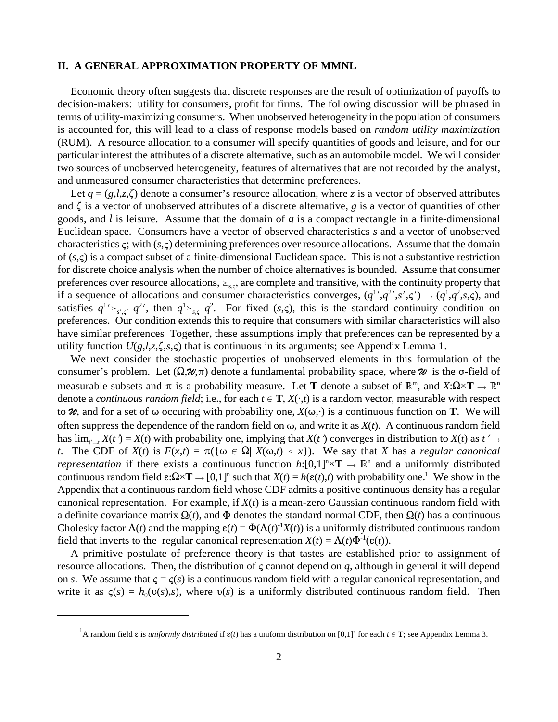#### **II. A GENERAL APPROXIMATION PROPERTY OF MMNL**

Economic theory often suggests that discrete responses are the result of optimization of payoffs to decision-makers: utility for consumers, profit for firms. The following discussion will be phrased in terms of utility-maximizing consumers. When unobserved heterogeneity in the population of consumers is accounted for, this will lead to a class of response models based on *random utility maximization* (RUM). A resource allocation to a consumer will specify quantities of goods and leisure, and for our particular interest the attributes of a discrete alternative, such as an automobile model. We will consider two sources of unobserved heterogeneity, features of alternatives that are not recorded by the analyst, and unmeasured consumer characteristics that determine preferences.

Let  $q = (g, l, z, \zeta)$  denote a consumer's resource allocation, where *z* is a vector of observed attributes and  $\zeta$  is a vector of unobserved attributes of a discrete alternative, *g* is a vector of quantities of other goods, and *l* is leisure. Assume that the domain of *q* is a compact rectangle in a finite-dimensional Euclidean space. Consumers have a vector of observed characteristics *s* and a vector of unobserved characteristics  $\varsigma$ ; with  $(s,\varsigma)$  determining preferences over resource allocations. Assume that the domain of  $(s,\varsigma)$  is a compact subset of a finite-dimensional Euclidean space. This is not a substantive restriction for discrete choice analysis when the number of choice alternatives is bounded. Assume that consumer preferences over resource allocations,  $\geq_{s,c}$ , are complete and transitive, with the continuity property that if a sequence of allocations and consumer characteristics converges,  $(q^{1}, q^{2}, s', \zeta') \rightarrow (q^{1}, q^{2}, s, \zeta)$ , and satisfies  $q^{1'} \geq_{s',s'} q^{2'}$ , then  $q^{1} \geq_{s,s} q^{2}$ . For fixed  $(s,\varsigma)$ , this is the standard continuity condition on preferences. Our condition extends this to require that consumers with similar characteristics will also have similar preferences Together, these assumptions imply that preferences can be represented by a utility function  $U(g, l, z, \zeta, s, \zeta)$  that is continuous in its arguments; see Appendix Lemma 1.

We next consider the stochastic properties of unobserved elements in this formulation of the consumer's problem. Let  $(\Omega, \mathcal{U}, \pi)$  denote a fundamental probability space, where  $\mathcal{U}$  is the  $\sigma$ -field of measurable subsets and  $\pi$  is a probability measure. Let **T** denote a subset of  $\mathbb{R}^m$ , and  $X:\Omega \times \mathbf{T} \to \mathbb{R}^n$ denote a *continuous random field*; i.e., for each  $t \in \mathbf{T}$ ,  $X(\cdot,t)$  is a random vector, measurable with respect to  $\mathcal{U}$ , and for a set of  $\omega$  occuring with probability one,  $X(\omega, \cdot)$  is a continuous function on **T**. We will often suppress the dependence of the random field on  $\omega$ , and write it as  $X(t)$ . A continuous random field has  $\lim_{t\to t} X(t) = X(t)$  with probability one, implying that  $X(t)$  converges in distribution to  $X(t)$  as  $t' \to t$ *t*. The CDF of  $X(t)$  is  $F(x,t) = \pi(\{\omega \in \Omega \mid X(\omega,t) \leq x\})$ . We say that *X* has a *regular canonical representation* if there exists a continuous function  $h:[0,1]^n \times T \to \mathbb{R}^n$  and a uniformly distributed continuous random field  $\epsilon:\Omega\times\mathbf{T}\to[0,1]^n$  such that  $X(t) = h(\epsilon(t),t)$  with probability one.<sup>1</sup> We show in the Appendix that a continuous random field whose CDF admits a positive continuous density has a regular canonical representation. For example, if  $X(t)$  is a mean-zero Gaussian continuous random field with a definite covariance matrix  $\Omega(t)$ , and  $\Phi$  denotes the standard normal CDF, then  $\Omega(t)$  has a continuous Cholesky factor  $\Lambda(t)$  and the mapping  $\epsilon(t) = \Phi(\Lambda(t)^{-1}X(t))$  is a uniformly distributed continuous random field that inverts to the regular canonical representation  $X(t) = \Lambda(t)\Phi^{-1}(\varepsilon(t))$ .

A primitive postulate of preference theory is that tastes are established prior to assignment of resource allocations. Then, the distribution of  $\varsigma$  cannot depend on  $q$ , although in general it will depend on *s*. We assume that  $\zeta = \zeta(s)$  is a continuous random field with a regular canonical representation, and write it as  $\zeta(s) = h_0(v(s),s)$ , where  $v(s)$  is a uniformly distributed continuous random field. Then

<sup>&</sup>lt;sup>1</sup>A random field  $\varepsilon$  is *uniformly distributed* if  $\varepsilon(t)$  has a uniform distribution on [0,1]<sup>n</sup> for each  $t \in \mathbf{T}$ ; see Appendix Lemma 3.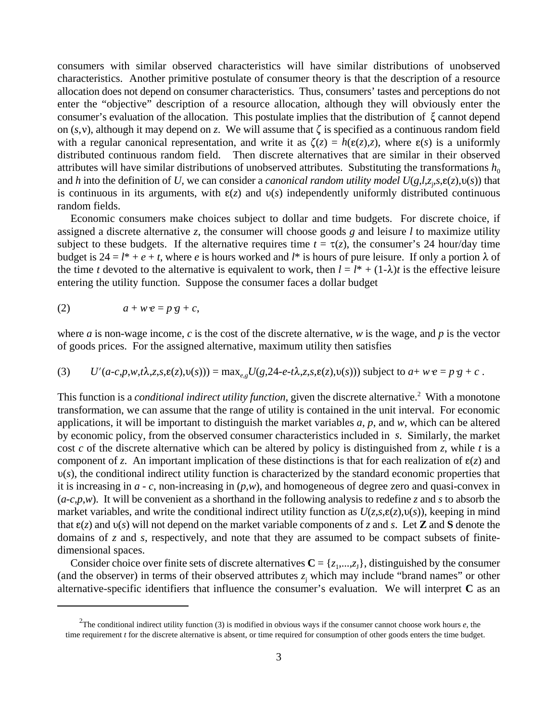consumers with similar observed characteristics will have similar distributions of unobserved characteristics. Another primitive postulate of consumer theory is that the description of a resource allocation does not depend on consumer characteristics. Thus, consumers' tastes and perceptions do not enter the "objective" description of a resource allocation, although they will obviously enter the consumer's evaluation of the allocation. This postulate implies that the distribution of  $\zeta$  cannot depend on  $(s, v)$ , although it may depend on *z*. We will assume that  $\zeta$  is specified as a continuous random field with a regular canonical representation, and write it as  $\zeta(z) = h(\varepsilon(z), z)$ , where  $\varepsilon(s)$  is a uniformly distributed continuous random field. Then discrete alternatives that are similar in their observed attributes will have similar distributions of unobserved attributes. Substituting the transformations  $h_0$ and *h* into the definition of *U*, we can consider a *canonical random utility model*  $U(g, l, z_i, s, \varepsilon(z), v(s))$  that is continuous in its arguments, with  $\varepsilon(z)$  and  $v(s)$  independently uniformly distributed continuous random fields.

Economic consumers make choices subject to dollar and time budgets. For discrete choice, if assigned a discrete alternative *z*, the consumer will choose goods *g* and leisure *l* to maximize utility subject to these budgets. If the alternative requires time  $t = \tau(z)$ , the consumer's 24 hour/day time budget is  $24 = l^* + e + t$ , where *e* is hours worked and *l*<sup>\*</sup> is hours of pure leisure. If only a portion  $\lambda$  of the time *t* devoted to the alternative is equivalent to work, then  $l = l^* + (1-\lambda)t$  is the effective leisure entering the utility function. Suppose the consumer faces a dollar budget

$$
(2) \t a + w e = p \cdot g + c,
$$

where *a* is non-wage income, *c* is the cost of the discrete alternative, *w* is the wage, and *p* is the vector of goods prices. For the assigned alternative, maximum utility then satisfies

(3) 
$$
U'(a-c,p,w,t\lambda,z,s,\varepsilon(z),v(s))) = \max_{e,g} U(g,24-e-t\lambda,z,s,\varepsilon(z),v(s)))
$$
 subject to  $a+w e = p \cdot g + c$ .

This function is a *conditional indirect utility function*, given the discrete alternative.<sup>2</sup> With a monotone transformation, we can assume that the range of utility is contained in the unit interval. For economic applications, it will be important to distinguish the market variables *a*, *p*, and *w*, which can be altered by economic policy, from the observed consumer characteristics included in *s*. Similarly, the market cost *c* of the discrete alternative which can be altered by policy is distinguished from *z*, while *t* is a component of *z*. An important implication of these distinctions is that for each realization of  $\varepsilon(z)$  and  $v(s)$ , the conditional indirect utility function is characterized by the standard economic properties that it is increasing in *a* - *c*, non-increasing in (*p*,*w*), and homogeneous of degree zero and quasi-convex in (*a*-*c*,*p*,*w*). It will be convenient as a shorthand in the following analysis to redefine *z* and *s* to absorb the market variables, and write the conditional indirect utility function as  $U(z, s, \varepsilon(z), v(s))$ , keeping in mind that  $\varepsilon(z)$  and  $v(s)$  will not depend on the market variable components of *z* and *s*. Let **Z** and **S** denote the domains of *z* and *s*, respectively, and note that they are assumed to be compact subsets of finitedimensional spaces.

Consider choice over finite sets of discrete alternatives  $\mathbf{C} = \{z_1, \dots, z_J\}$ , distinguished by the consumer (and the observer) in terms of their observed attributes  $z_i$  which may include "brand names" or other alternative-specific identifiers that influence the consumer's evaluation. We will interpret **C** as an

<sup>&</sup>lt;sup>2</sup>The conditional indirect utility function (3) is modified in obvious ways if the consumer cannot choose work hours  $e$ , the time requirement *t* for the discrete alternative is absent, or time required for consumption of other goods enters the time budget.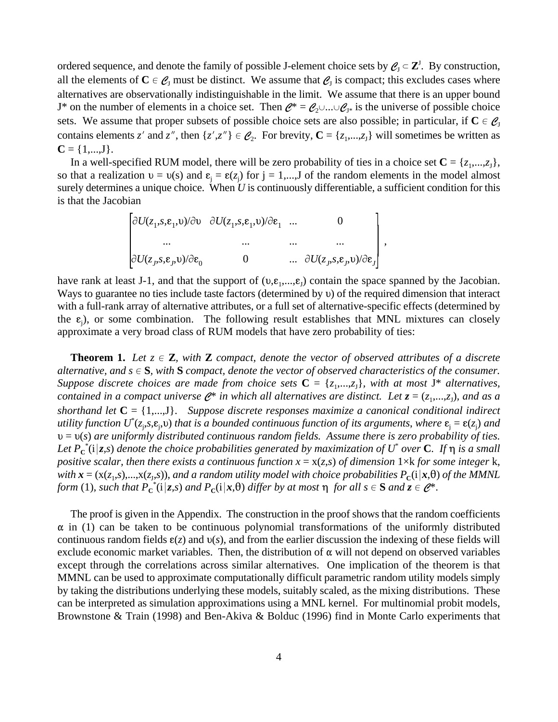ordered sequence, and denote the family of possible J-element choice sets by  $Q_I \subset \mathbb{Z}^J$ . By construction, all the elements of  $C \in \mathcal{C}_J$  must be distinct. We assume that  $\mathcal{C}_J$  is compact; this excludes cases where alternatives are observationally indistinguishable in the limit. We assume that there is an upper bound J\* on the number of elements in a choice set. Then  $\mathcal{C}^* = \mathcal{C}_2 \cup ... \cup \mathcal{C}_{J^*}$  is the universe of possible choice sets. We assume that proper subsets of possible choice sets are also possible; in particular, if  $C \in \mathcal{C}_J$ contains elements *z'* and *z''*, then  $\{z', z''\} \in \mathcal{C}_2$ . For brevity,  $\mathbf{C} = \{z_1, ..., z_J\}$  will sometimes be written as  $C = \{1,...,J\}.$ 

In a well-specified RUM model, there will be zero probability of ties in a choice set  $C = \{z_1, ..., z_J\}$ , so that a realization  $v = v(s)$  and  $\varepsilon_i = \varepsilon(z_i)$  for  $j = 1,...,J$  of the random elements in the model almost surely determines a unique choice. When *U* is continuously differentiable, a sufficient condition for this is that the Jacobian

,

$$
\begin{bmatrix}\n\frac{\partial U(z_1, s, \varepsilon_1, v)}{\partial v} & \frac{\partial U(z_1, s, \varepsilon_1, v)}{\partial \varepsilon_1} & \dots & 0 \\
\vdots & \vdots & \vdots & \vdots \\
\frac{\partial U(z_j, s, \varepsilon_j, v)}{\partial \varepsilon_0} & 0 & \dots & \frac{\partial U(z_j, s, \varepsilon_j, v)}{\partial \varepsilon_j}\n\end{bmatrix}
$$

have rank at least J-1, and that the support of  $(v,\varepsilon_1,...,\varepsilon_J)$  contain the space spanned by the Jacobian. Ways to guarantee no ties include taste factors (determined by  $\nu$ ) of the required dimension that interact with a full-rank array of alternative attributes, or a full set of alternative-specific effects (determined by the  $\varepsilon_j$ ), or some combination. The following result establishes that MNL mixtures can closely approximate a very broad class of RUM models that have zero probability of ties:

**Theorem 1.** Let  $z \in \mathbb{Z}$ , with **Z** compact, denote the vector of observed attributes of a discrete *alternative, and*  $s \in S$ *, with*  $S$  *compact, denote the vector of observed characteristics of the consumer. Suppose discrete choices are made from choice sets*  $C = \{z_1, \ldots, z_J\}$ , with at most J<sup>\*</sup> alternatives, *contained in a compact universe*  $\mathcal{C}^*$  *in which all alternatives are distinct. Let*  $z = (z_1, ..., z_n)$ *, and as a shorthand let* **C** = {1,...,J}. *Suppose discrete responses maximize a canonical conditional indirect* utility function  $U^*(z_j,s,\mathfrak{s}_j, \omega)$  that is a bounded continuous function of its arguments, where  $\mathfrak{e}_j = \mathfrak{e}(z_j)$  and  $\nu = \nu(s)$  are uniformly distributed continuous random fields. Assume there is zero probability of ties. Let  $P_{\bf c}^{\,*}$ (i|z,s) denote the choice probabilities generated by maximization of  $U^*$  over  ${\bf C}$ . If  $\eta$  is a small *positive scalar, then there exists a continuous function*  $x = x(z,s)$  *of dimension*  $1 \times k$  *<i>for some integer*  $k$ , *with*  $\bf{x}$  = ( $x(z_1,s)$ ,..., $x(z_1,s)$ ), and a random utility model with choice probabilities  $P_c(i|x,\theta)$  of the MMNL *form* (1), such that  $P_c^*(i|z,s)$  and  $P_c(i|x,\theta)$  differ by at most  $\eta$  for all  $s \in S$  and  $z \in \mathcal{C}^*$ .

The proof is given in the Appendix. The construction in the proof shows that the random coefficients  $\alpha$  in (1) can be taken to be continuous polynomial transformations of the uniformly distributed continuous random fields  $\varepsilon(z)$  and  $v(s)$ , and from the earlier discussion the indexing of these fields will exclude economic market variables. Then, the distribution of  $\alpha$  will not depend on observed variables except through the correlations across similar alternatives. One implication of the theorem is that MMNL can be used to approximate computationally difficult parametric random utility models simply by taking the distributions underlying these models, suitably scaled, as the mixing distributions. These can be interpreted as simulation approximations using a MNL kernel. For multinomial probit models, Brownstone & Train (1998) and Ben-Akiva & Bolduc (1996) find in Monte Carlo experiments that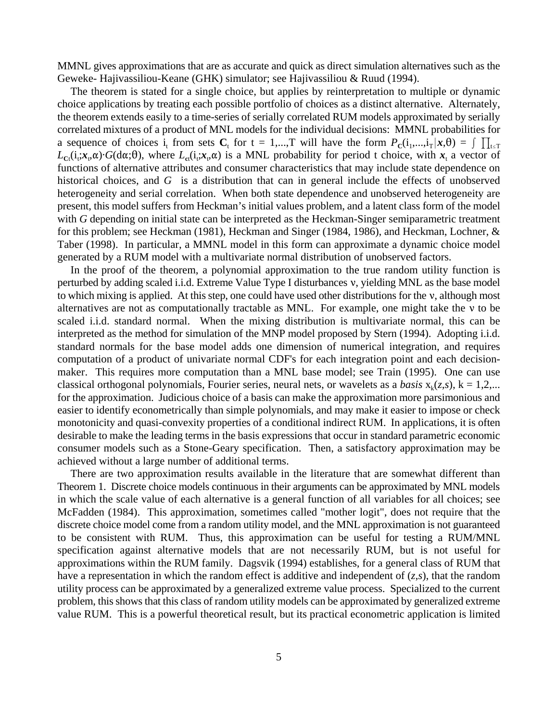MMNL gives approximations that are as accurate and quick as direct simulation alternatives such as the Geweke- Hajivassiliou-Keane (GHK) simulator; see Hajivassiliou & Ruud (1994).

The theorem is stated for a single choice, but applies by reinterpretation to multiple or dynamic choice applications by treating each possible portfolio of choices as a distinct alternative. Alternately, the theorem extends easily to a time-series of serially correlated RUM models approximated by serially correlated mixtures of a product of MNL models for the individual decisions: MMNL probabilities for a sequence of choices i<sub>t</sub> from sets  $C_t$  for  $t = 1,...,T$  will have the form  $P_c(i_1,...,i_T | \mathbf{x}, \theta) = \int \prod_{t \le T}$  $L_{\text{C}f}(i_{t};\mathbf{x}_{t},\alpha)$  *G*(d $\alpha$ ; $\theta$ ), where  $L_{\text{C}f}(i_{t};\mathbf{x}_{t},\alpha)$  is a MNL probability for period t choice, with  $\mathbf{x}_{t}$  a vector of functions of alternative attributes and consumer characteristics that may include state dependence on historical choices, and *G* is a distribution that can in general include the effects of unobserved heterogeneity and serial correlation. When both state dependence and unobserved heterogeneity are present, this model suffers from Heckman's initial values problem, and a latent class form of the model with *G* depending on initial state can be interpreted as the Heckman-Singer semiparametric treatment for this problem; see Heckman (1981), Heckman and Singer (1984, 1986), and Heckman, Lochner, & Taber (1998). In particular, a MMNL model in this form can approximate a dynamic choice model generated by a RUM model with a multivariate normal distribution of unobserved factors.

In the proof of the theorem, a polynomial approximation to the true random utility function is perturbed by adding scaled i.i.d. Extreme Value Type I disturbances v, yielding MNL as the base model to which mixing is applied. At this step, one could have used other distributions for the v, although most alternatives are not as computationally tractable as MNL. For example, one might take the v to be scaled i.i.d. standard normal. When the mixing distribution is multivariate normal, this can be interpreted as the method for simulation of the MNP model proposed by Stern (1994). Adopting i.i.d. standard normals for the base model adds one dimension of numerical integration, and requires computation of a product of univariate normal CDF's for each integration point and each decisionmaker. This requires more computation than a MNL base model; see Train (1995). One can use classical orthogonal polynomials, Fourier series, neural nets, or wavelets as a *basis*  $x_k(z, s)$ ,  $k = 1, 2, ...$ for the approximation. Judicious choice of a basis can make the approximation more parsimonious and easier to identify econometrically than simple polynomials, and may make it easier to impose or check monotonicity and quasi-convexity properties of a conditional indirect RUM. In applications, it is often desirable to make the leading terms in the basis expressions that occur in standard parametric economic consumer models such as a Stone-Geary specification. Then, a satisfactory approximation may be achieved without a large number of additional terms.

There are two approximation results available in the literature that are somewhat different than Theorem 1. Discrete choice models continuous in their arguments can be approximated by MNL models in which the scale value of each alternative is a general function of all variables for all choices; see McFadden (1984). This approximation, sometimes called "mother logit", does not require that the discrete choice model come from a random utility model, and the MNL approximation is not guaranteed to be consistent with RUM. Thus, this approximation can be useful for testing a RUM/MNL specification against alternative models that are not necessarily RUM, but is not useful for approximations within the RUM family. Dagsvik (1994) establishes, for a general class of RUM that have a representation in which the random effect is additive and independent of (*z*,*s*), that the random utility process can be approximated by a generalized extreme value process. Specialized to the current problem, this shows that this class of random utility models can be approximated by generalized extreme value RUM. This is a powerful theoretical result, but its practical econometric application is limited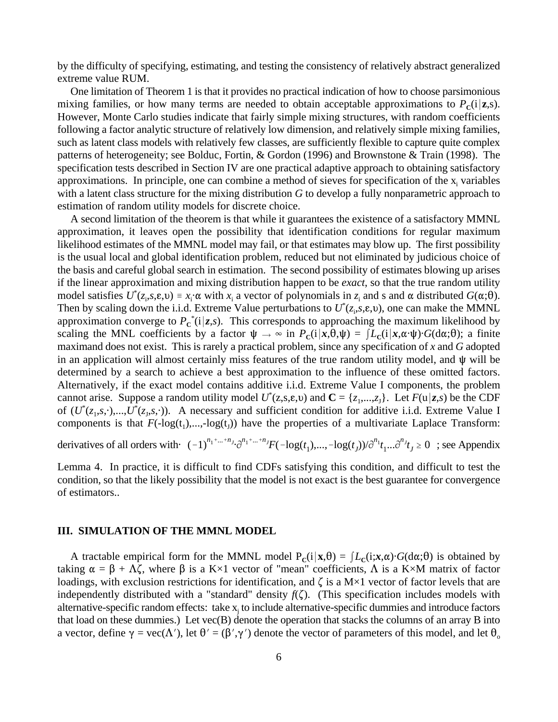by the difficulty of specifying, estimating, and testing the consistency of relatively abstract generalized extreme value RUM.

One limitation of Theorem 1 is that it provides no practical indication of how to choose parsimonious mixing families, or how many terms are needed to obtain acceptable approximations to  $P_c(i|\mathbf{z},s)$ . However, Monte Carlo studies indicate that fairly simple mixing structures, with random coefficients following a factor analytic structure of relatively low dimension, and relatively simple mixing families, such as latent class models with relatively few classes, are sufficiently flexible to capture quite complex patterns of heterogeneity; see Bolduc, Fortin, & Gordon (1996) and Brownstone & Train (1998). The specification tests described in Section IV are one practical adaptive approach to obtaining satisfactory approximations. In principle, one can combine a method of sieves for specification of the  $x_i$  variables with a latent class structure for the mixing distribution *G* to develop a fully nonparametric approach to estimation of random utility models for discrete choice.

A second limitation of the theorem is that while it guarantees the existence of a satisfactory MMNL approximation, it leaves open the possibility that identification conditions for regular maximum likelihood estimates of the MMNL model may fail, or that estimates may blow up. The first possibility is the usual local and global identification problem, reduced but not eliminated by judicious choice of the basis and careful global search in estimation. The second possibility of estimates blowing up arises if the linear approximation and mixing distribution happen to be *exact*, so that the true random utility model satisfies  $U^*(z_i,s,\varepsilon,\nu) = x_i \cdot \alpha$  with  $x_i$  a vector of polynomials in  $z_i$  and s and  $\alpha$  distributed  $G(\alpha;\theta)$ . Then by scaling down the i.i.d. Extreme Value perturbations to  $U^*(z_i,s,\epsilon,\upsilon)$ , one can make the MMNL approximation converge to  $P_{\rm c}^*(i|z,s)$ . This corresponds to approaching the maximum likelihood by scaling the MNL coefficients by a factor  $\psi \to \infty$  in  $P_c(i|x,\theta,\psi) = \int L_c(i|x,\alpha \cdot \psi) \cdot G(d\alpha;\theta)$ ; a finite maximand does not exist. This is rarely a practical problem, since any specification of *x* and *G* adopted in an application will almost certainly miss features of the true random utility model, and  $\psi$  will be determined by a search to achieve a best approximation to the influence of these omitted factors. Alternatively, if the exact model contains additive i.i.d. Extreme Value I components, the problem cannot arise. Suppose a random utility model  $U^*(z,s,\varepsilon,\nu)$  and  $\mathbf{C} = \{z_1,...,z_J\}$ . Let  $F(\mathbf{u}|z,s)$  be the CDF of  $(U^*(z_1,s,\cdot),...,U^*(z_J,s,\cdot))$ . A necessary and sufficient condition for additive i.i.d. Extreme Value I components is that  $F(-\log(t_1),..., -\log(t_1))$  have the properties of a multivariate Laplace Transform:

derivatives of all orders with  $(-1)^{n_1 + ... + n_j}$  $\partial^{n_1 + ... + n_j} F(-\log(t_1), ..., -\log(t_j))$  $\partial^{n_1} t_1 ... \partial^{n_j} t_j \ge 0$ ; see Appendix

Lemma 4. In practice, it is difficult to find CDFs satisfying this condition, and difficult to test the condition, so that the likely possibility that the model is not exact is the best guarantee for convergence of estimators..

#### **III. SIMULATION OF THE MMNL MODEL**

A tractable empirical form for the MMNL model  $P_C(i|\mathbf{x},\theta) = \int L_C(i;\mathbf{x},\alpha) \cdot G(d\alpha;\theta)$  is obtained by taking  $\alpha = \beta + \Lambda \zeta$ , where  $\beta$  is a K×1 vector of "mean" coefficients,  $\Lambda$  is a K×M matrix of factor loadings, with exclusion restrictions for identification, and  $\zeta$  is a M×1 vector of factor levels that are independently distributed with a "standard" density  $f(\zeta)$ . (This specification includes models with alternative-specific random effects: take  $x_i$  to include alternative-specific dummies and introduce factors that load on these dummies.) Let vec(B) denote the operation that stacks the columns of an array B into a vector, define  $\gamma = \text{vec}(\Lambda')$ , let  $\theta' = (\beta', \gamma')$  denote the vector of parameters of this model, and let  $\theta_0$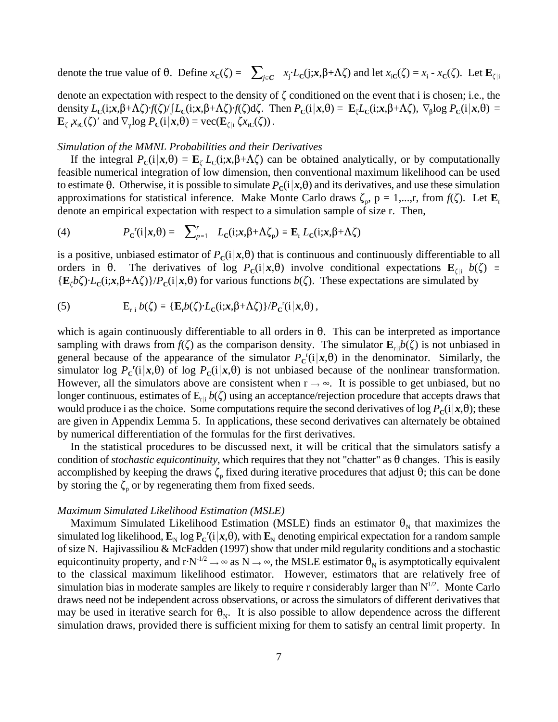denote the true value of  $\theta$ . Define  $x_c(\zeta) = \sum_{j \in C} x_j \cdot L_c(j; x, \beta + \Lambda \zeta)$  and let  $x_{ic}(\zeta) = x_i - x_c(\zeta)$ . Let  $\mathbf{E}_{\zeta|i}$ 

denote an expectation with respect to the density of  $\zeta$  conditioned on the event that i is chosen; i.e., the density  $L_c(i; x, \beta+\Lambda\zeta) \cdot f(\zeta)/\int L_c(i; x, \beta+\Lambda\zeta) \cdot f(\zeta) d\zeta$ . Then  $P_c(i|x, \theta) = \mathbf{E}_\zeta L_c(i; x, \beta+\Lambda\zeta)$ ,  $\nabla_\beta \log P_c(i|x, \theta) =$  $\mathbf{E}_{\zeta | i} x_{iC}(\zeta)'$  and  $\nabla_{\gamma} \log P_C(i | \mathbf{x}, \theta) = \text{vec}(\mathbf{E}_{\zeta | i} \zeta x_{iC}(\zeta)).$ 

#### *Simulation of the MMNL Probabilities and their Derivatives*

If the integral  $P_c(i|x, \theta) = \mathbf{E}_c L_c(i; x, \beta + \Lambda \zeta)$  can be obtained analytically, or by computationally feasible numerical integration of low dimension, then conventional maximum likelihood can be used to estimate  $\theta$ . Otherwise, it is possible to simulate  $P_c(i|x,\theta)$  and its derivatives, and use these simulation approximations for statistical inference. Make Monte Carlo draws  $\zeta_p$ ,  $p = 1,...,r$ , from  $f(\zeta)$ . Let  $\mathbf{E}_r$ denote an empirical expectation with respect to a simulation sample of size r. Then,

(4) 
$$
P_{\mathbf{C}}^{\mathbf{r}}(\mathbf{i}|\mathbf{x},\theta) = \sum_{p=1}^{r} L_{\mathbf{C}}(\mathbf{i};\mathbf{x},\beta+\Lambda\zeta_{p}) \equiv \mathbf{E}_{\mathbf{r}} L_{\mathbf{C}}(\mathbf{i};\mathbf{x},\beta+\Lambda\zeta)
$$

is a positive, unbiased estimator of  $P_c(i|x,\theta)$  that is continuous and continuously differentiable to all orders in  $\theta$ . The derivatives of log  $P_c(i|\mathbf{x},\theta)$  involve conditional expectations  $\mathbf{E}_{\zeta|i}$   $b(\zeta)$  =  ${\bf E}_c b \zeta$ )  $L_c(i; x, \beta + \Lambda \zeta)$  / $P_c(i | x, \theta)$  for various functions *b*( $\zeta$ ). These expectations are simulated by

(5) 
$$
E_{r|i} b(\zeta) = \{E_r b(\zeta) \cdot L_C(i; x, \beta + \Lambda \zeta)\}/P_C^{r}(i|x, \theta),
$$

which is again continuously differentiable to all orders in  $\theta$ . This can be interpreted as importance sampling with draws from  $f(\zeta)$  as the comparison density. The simulator  $\mathbf{E}_{r|i}b(\zeta)$  is not unbiased in general because of the appearance of the simulator  $P_{\rm c}^{\rm r}(i|x,\theta)$  in the denominator. Similarly, the simulator log  $P_{\rm c}$ <sup>r</sup>(i|x, $\theta$ ) of log  $P_{\rm c}$ (i|x, $\theta$ ) is not unbiased because of the nonlinear transformation. However, all the simulators above are consistent when  $r \rightarrow \infty$ . It is possible to get unbiased, but no longer continuous, estimates of  $E_{\text{r}}$   $b(\zeta)$  using an acceptance/rejection procedure that accepts draws that would produce i as the choice. Some computations require the second derivatives of  $\log P_{\rm c}(i|x,\theta)$ ; these are given in Appendix Lemma 5. In applications, these second derivatives can alternately be obtained by numerical differentiation of the formulas for the first derivatives.

In the statistical procedures to be discussed next, it will be critical that the simulators satisfy a condition of *stochastic equicontinuity*, which requires that they not "chatter" as  $\theta$  changes. This is easily accomplished by keeping the draws  $\zeta_p$  fixed during iterative procedures that adjust  $\theta$ ; this can be done by storing the  $\zeta_p$  or by regenerating them from fixed seeds.

#### *Maximum Simulated Likelihood Estimation (MSLE)*

Maximum Simulated Likelihood Estimation (MSLE) finds an estimator  $\theta_N$  that maximizes the simulated log likelihood,  $\mathbf{E}_{\text{N}}$  log  $\text{P}_{\text{C}}^{\text{r}}(\text{i}|x,\theta)$ , with  $\mathbf{E}_{\text{N}}$  denoting empirical expectation for a random sample of size N. Hajivassiliou & McFadden (1997) show that under mild regularity conditions and a stochastic equicontinuity property, and  $rN^{-1/2} \to \infty$  as  $N \to \infty$ , the MSLE estimator  $\theta_N$  is asymptotically equivalent to the classical maximum likelihood estimator. However, estimators that are relatively free of simulation bias in moderate samples are likely to require r considerably larger than  $N^{1/2}$ . Monte Carlo draws need not be independent across observations, or across the simulators of different derivatives that may be used in iterative search for  $\theta_N$ . It is also possible to allow dependence across the different simulation draws, provided there is sufficient mixing for them to satisfy an central limit property. In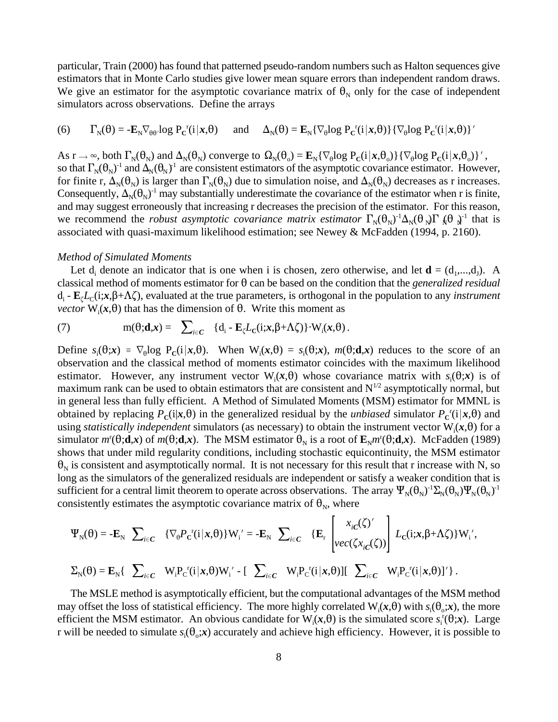particular, Train (2000) has found that patterned pseudo-random numbers such as Halton sequences give estimators that in Monte Carlo studies give lower mean square errors than independent random draws. We give an estimator for the asymptotic covariance matrix of  $\theta_N$  only for the case of independent simulators across observations. Define the arrays

(6) 
$$
\Gamma_{N}(\theta) = -\mathbf{E}_{N} \nabla_{\theta \theta} \log P_{C}^{r}(i|\mathbf{x}, \theta) \quad \text{and} \quad \Delta_{N}(\theta) = \mathbf{E}_{N} \{ \nabla_{\theta} \log P_{C}^{r}(i|\mathbf{x}, \theta) \} \{ \nabla_{\theta} \log P_{C}^{r}(i|\mathbf{x}, \theta) \}'
$$

As  $r \to \infty$ , both  $\Gamma_N(\theta_N)$  and  $\Delta_N(\theta_N)$  converge to  $\Omega_N(\theta_0) = \mathbf{E}_N{\lbrace \nabla_\theta \log P_C(i|\mathbf{x},\theta_0) \rbrace } {\lbrace \nabla_\theta \log P_C(i|\mathbf{x},\theta_0) \rbrace }$ ', so that  $\Gamma_N(\theta_N)^{-1}$  and  $\Delta_N(\theta_N)^{-1}$  are consistent estimators of the asymptotic covariance estimator. However, for finite r,  $\Delta_N(\theta_N)$  is larger than  $\Gamma_N(\theta_N)$  due to simulation noise, and  $\Delta_N(\theta_N)$  decreases as r increases. Consequently,  $\Delta_N(\theta_N)^{-1}$  may substantially underestimate the covariance of the estimator when r is finite, and may suggest erroneously that increasing r decreases the precision of the estimator. For this reason, we recommend the *robust asymptotic covariance matrix estimator*  $\Gamma_N(\theta_N)^{-1}\Delta_N(\theta_N)\Gamma_N(\theta_N)^{-1}$  that is associated with quasi-maximum likelihood estimation; see Newey & McFadden (1994, p. 2160).

#### *Method of Simulated Moments*

Let  $d_i$  denote an indicator that is one when i is chosen, zero otherwise, and let  $\mathbf{d} = (d_1, ..., d_l)$ . A classical method of moments estimator for  $\theta$  can be based on the condition that the *generalized residual*  $d_i$  -  $\mathbf{E}_i L_c(i; x, \beta + \Lambda \zeta)$ , evaluated at the true parameters, is orthogonal in the population to any *instrument vector*  $W_i(x, \theta)$  that has the dimension of  $\theta$ . Write this moment as

(7) 
$$
m(\theta; \mathbf{d}, \mathbf{x}) = \sum_{i \in C} \{d_i - \mathbf{E}_{\zeta} L_{\zeta}(i; \mathbf{x}, \beta + \Lambda \zeta)\} \cdot W_i(\mathbf{x}, \theta).
$$

Define  $s_i(\theta; \mathbf{x}) = \nabla_{\theta} \log P_{\theta}(i | \mathbf{x}, \theta)$ . When  $W_i(\mathbf{x}, \theta) = s_i(\theta; \mathbf{x})$ ,  $m(\theta; \mathbf{d}, \mathbf{x})$  reduces to the score of an observation and the classical method of moments estimator coincides with the maximum likelihood estimator. However, any instrument vector  $W_i(x, \theta)$  whose covariance matrix with  $s_i(\theta, x)$  is of maximum rank can be used to obtain estimators that are consistent and  $N^{1/2}$  asymptotically normal, but in general less than fully efficient. A Method of Simulated Moments (MSM) estimator for MMNL is obtained by replacing  $P_c(i|x, \theta)$  in the generalized residual by the *unbiased* simulator  $P_c^c(i|x, \theta)$  and using *statistically independent* simulators (as necessary) to obtain the instrument vector  $W_i(x, \theta)$  for a simulator  $m^r(\theta; \mathbf{d}, \mathbf{x})$  of  $m(\theta; \mathbf{d}, \mathbf{x})$ . The MSM estimator  $\theta_N$  is a root of  $\mathbf{E}_N m^r(\theta; \mathbf{d}, \mathbf{x})$ . McFadden (1989) shows that under mild regularity conditions, including stochastic equicontinuity, the MSM estimator  $\theta_N$  is consistent and asymptotically normal. It is not necessary for this result that r increase with N, so long as the simulators of the generalized residuals are independent or satisfy a weaker condition that is sufficient for a central limit theorem to operate across observations. The array  $\Psi_N(\theta_N)^{-1}\Sigma_N(\theta_N)\Psi_N(\theta_N)^{-1}$ consistently estimates the asymptotic covariance matrix of  $\theta_N$ , where

$$
\Psi_{N}(\theta) = -\mathbf{E}_{N} \sum_{i \in C} \{ \nabla_{\theta} P_{C}^{r}(i|\mathbf{x}, \theta) \} W_{i}^{\prime} = -\mathbf{E}_{N} \sum_{i \in C} \{ \mathbf{E}_{r} \begin{bmatrix} x_{iC}(\zeta)^{\prime} \\ vec(\zeta x_{iC}(\zeta)) \end{bmatrix} L_{C}(i; \mathbf{x}, \beta + \Lambda \zeta) \} W_{i}^{\prime},
$$
\n
$$
\Sigma_{N}(\theta) = \mathbf{E}_{N} \{ \sum_{i \in C} W_{i} P_{C}^{r}(i|\mathbf{x}, \theta) W_{i}^{\prime} - \left[ \sum_{i \in C} W_{i} P_{C}^{r}(i|\mathbf{x}, \theta) \right] \left[ \sum_{i \in C} W_{i} P_{C}^{r}(i|\mathbf{x}, \theta) \right]^{\prime} \}.
$$

The MSLE method is asymptotically efficient, but the computational advantages of the MSM method may offset the loss of statistical efficiency. The more highly correlated  $W_i(x, \theta)$  with  $s_i(\theta, x)$ , the more efficient the MSM estimator. An obvious candidate for  $W_i(x, \theta)$  is the simulated score  $s_i^r(\theta; x)$ . Large r will be needed to simulate  $s_i(\theta, x)$  accurately and achieve high efficiency. However, it is possible to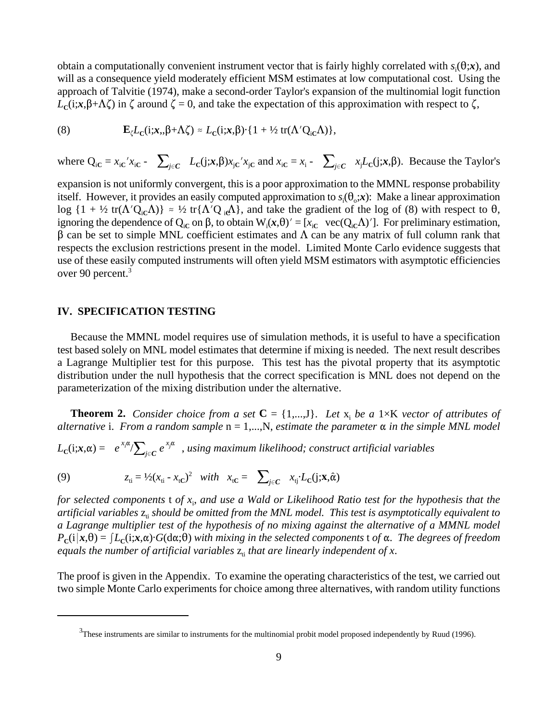obtain a computationally convenient instrument vector that is fairly highly correlated with  $s_i(\theta; \mathbf{x})$ , and will as a consequence yield moderately efficient MSM estimates at low computational cost. Using the approach of Talvitie (1974), make a second-order Taylor's expansion of the multinomial logit function  $L_c(i; x, \beta+\Lambda\zeta)$  in  $\zeta$  around  $\zeta = 0$ , and take the expectation of this approximation with respect to  $\zeta$ ,

(8) 
$$
\mathbf{E}_{\zeta}L_{\zeta}(i;\mathbf{x},\beta+\Lambda\zeta)\approx L_{\zeta}(i;\mathbf{x},\beta)\cdot\{1+\frac{1}{2}\operatorname{tr}(\Lambda'Q_{i\zeta}\Lambda)\},
$$

where  $Q_{iC} = x_{iC}x_{iC}$  -  $\sum_{j \in C} L_C(j; x, \beta)x_{iC}x_{jC}$  and  $x_{iC} = x_i$  -  $\sum_{j \in C} x_jL_C(j; x, \beta)$ . Because the Taylor's

expansion is not uniformly convergent, this is a poor approximation to the MMNL response probability itself. However, it provides an easily computed approximation to  $s_i(\theta_{\alpha}, x)$ : Make a linear approximation  $\log \{1 + \frac{1}{2} \text{tr}(\Lambda' Q_{iC} \Lambda)\} \approx \frac{1}{2} \text{tr} \{\Lambda' Q_{iC} \Lambda\}$ , and take the gradient of the log of (8) with respect to  $\theta$ , ignoring the dependence of  $Q_i$  on  $\beta$ , to obtain  $W_i(x,\theta)' = [x_i e \text{ vec}(Q_i \Delta)']$ . For preliminary estimation,  $\beta$  can be set to simple MNL coefficient estimates and  $\Lambda$  can be any matrix of full column rank that respects the exclusion restrictions present in the model. Limited Monte Carlo evidence suggests that use of these easily computed instruments will often yield MSM estimators with asymptotic efficiencies over 90 percent.<sup>3</sup>

#### **IV. SPECIFICATION TESTING**

Because the MMNL model requires use of simulation methods, it is useful to have a specification test based solely on MNL model estimates that determine if mixing is needed. The next result describes a Lagrange Multiplier test for this purpose. This test has the pivotal property that its asymptotic distribution under the null hypothesis that the correct specification is MNL does not depend on the parameterization of the mixing distribution under the alternative.

**Theorem 2.** *Consider choice from a set*  $C = \{1,...,J\}$ . Let  $x_i$  be a 1×K *vector of attributes of alternative* i. From a random sample  $n = 1,...,N$ , estimate the parameter  $\alpha$  in the simple MNL model

 $L_{\text{C}}(\text{i}; x, \alpha) = -e^{x_i \alpha}/\sum_{j \in C} e^{x_j \alpha}$  , using maximum likelihood; construct artificial variables

(9) 
$$
z_{ti} = \frac{1}{2}(x_{ti} - x_{tC})^2 \quad with \quad x_{tC} = \sum_{j \in C} x_{tj} \cdot L_C(j; \mathbf{x}, \hat{\alpha})
$$

*for selected components* t *of x*<sup>i</sup> , *and use a Wald or Likelihood Ratio test for the hypothesis that the* artificial variables  $z_{\rm i}$  *should be omitted from the MNL model. This test is asymptotically equivalent to a Lagrange multiplier test of the hypothesis of no mixing against the alternative of a MMNL model*  $P_c(i|\mathbf{x},\theta) = [L_c(i;\mathbf{x},\alpha) \cdot G(d\alpha;\theta)$  with mixing in the selected components t of  $\alpha$ . The degrees of freedom *equals the number of artificial variables*  $z<sub>i</sub>$  *that are linearly independent of x.* 

The proof is given in the Appendix. To examine the operating characteristics of the test, we carried out two simple Monte Carlo experiments for choice among three alternatives, with random utility functions

 $3$ These instruments are similar to instruments for the multinomial probit model proposed independently by Ruud (1996).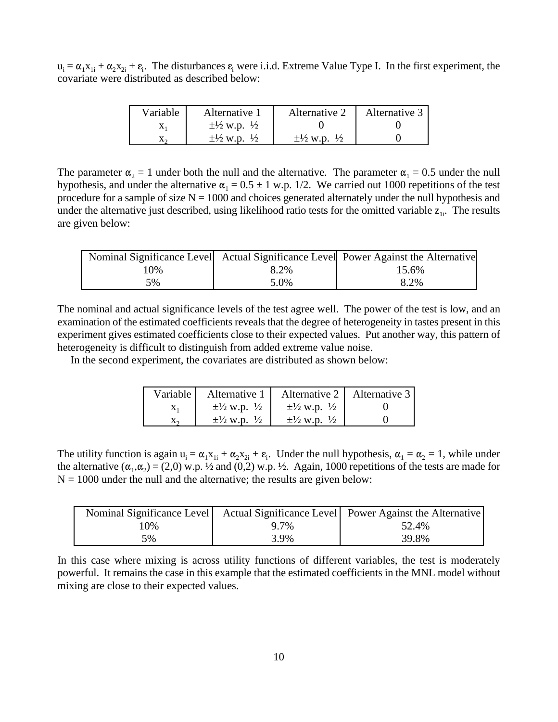$u_i = \alpha_1 x_{1i} + \alpha_2 x_{2i} + \varepsilon_i$ . The disturbances  $\varepsilon_i$  were i.i.d. Extreme Value Type I. In the first experiment, the covariate were distributed as described below:

| Variable | Alternative 1                       | Alternative 2                       | Alternative 3 |
|----------|-------------------------------------|-------------------------------------|---------------|
|          | $\pm\frac{1}{2}$ w.p. $\frac{1}{2}$ |                                     |               |
|          | $\pm\frac{1}{2}$ w.p. $\frac{1}{2}$ | $\pm\frac{1}{2}$ w.p. $\frac{1}{2}$ |               |

The parameter  $\alpha_2 = 1$  under both the null and the alternative. The parameter  $\alpha_1 = 0.5$  under the null hypothesis, and under the alternative  $\alpha_1 = 0.5 \pm 1$  w.p. 1/2. We carried out 1000 repetitions of the test procedure for a sample of size  $N = 1000$  and choices generated alternately under the null hypothesis and under the alternative just described, using likelihood ratio tests for the omitted variable  $z_{1i}$ . The results are given below:

|     |      | Nominal Significance Level Actual Significance Level Power Against the Alternative |
|-----|------|------------------------------------------------------------------------------------|
| 10% | 8.2% | 15.6%                                                                              |
| 5%  | 5.0% | 8.2%                                                                               |

The nominal and actual significance levels of the test agree well. The power of the test is low, and an examination of the estimated coefficients reveals that the degree of heterogeneity in tastes present in this experiment gives estimated coefficients close to their expected values. Put another way, this pattern of heterogeneity is difficult to distinguish from added extreme value noise.

In the second experiment, the covariates are distributed as shown below:

| Variable  | Alternative 1                       |                                     | Alternative 2   Alternative 3 |
|-----------|-------------------------------------|-------------------------------------|-------------------------------|
| $X_1$     | $\pm\frac{1}{2}$ w.p. $\frac{1}{2}$ | $\pm\frac{1}{2}$ w.p. $\frac{1}{2}$ |                               |
| $\Lambda$ | $\pm\frac{1}{2}$ w.p. $\frac{1}{2}$ | $\pm\frac{1}{2}$ w.p. $\frac{1}{2}$ |                               |

The utility function is again  $u_i = \alpha_1 x_{1i} + \alpha_2 x_{2i} + \varepsilon_i$ . Under the null hypothesis,  $\alpha_1 = \alpha_2 = 1$ , while under the alternative  $(\alpha_1, \alpha_2) = (2,0)$  w.p.  $\frac{1}{2}$  and  $(0,2)$  w.p.  $\frac{1}{2}$ . Again, 1000 repetitions of the tests are made for  $N = 1000$  under the null and the alternative; the results are given below:

|     |      | Nominal Significance Level   Actual Significance Level   Power Against the Alternative |
|-----|------|----------------------------------------------------------------------------------------|
| 10% | 9.7% | 52.4%                                                                                  |
| 5%  | 3.9% | 39.8%                                                                                  |

In this case where mixing is across utility functions of different variables, the test is moderately powerful. It remains the case in this example that the estimated coefficients in the MNL model without mixing are close to their expected values.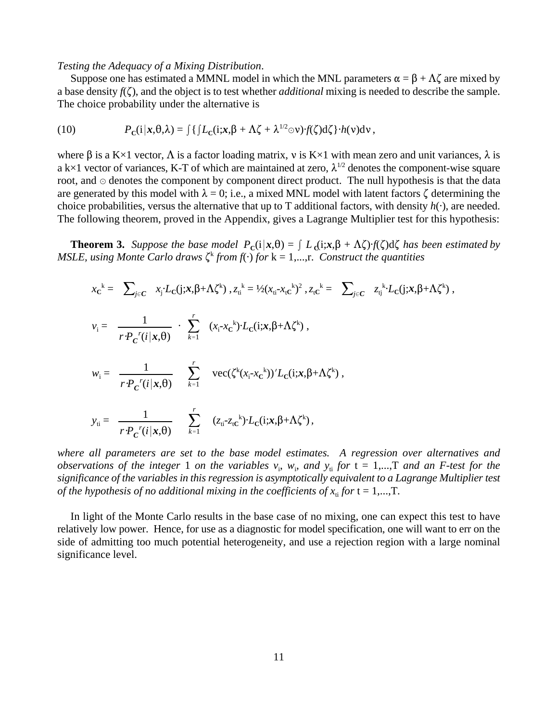#### *Testing the Adequacy of a Mixing Distribution*.

Suppose one has estimated a MMNL model in which the MNL parameters  $\alpha = \beta + \Lambda \zeta$  are mixed by a base density  $f(\zeta)$ , and the object is to test whether *additional* mixing is needed to describe the sample. The choice probability under the alternative is

(10) 
$$
P_{\mathbf{C}}(\mathbf{i}|\mathbf{x},\theta,\lambda) = \int \{ \int L_{\mathbf{C}}(\mathbf{i};\mathbf{x},\beta+\Lambda\zeta+\lambda^{1/2}\odot\mathbf{v}) \cdot f(\zeta) d\zeta \} \cdot h(\mathbf{v}) d\mathbf{v},
$$

where  $\beta$  is a K×1 vector,  $\Lambda$  is a factor loading matrix, v is K×1 with mean zero and unit variances,  $\lambda$  is a k×1 vector of variances, K-T of which are maintained at zero,  $\lambda^{1/2}$  denotes the component-wise square root, and  $\odot$  denotes the component by component direct product. The null hypothesis is that the data are generated by this model with  $\lambda = 0$ ; i.e., a mixed MNL model with latent factors  $\zeta$  determining the choice probabilities, versus the alternative that up to T additional factors, with density  $h(\cdot)$ , are needed. The following theorem, proved in the Appendix, gives a Lagrange Multiplier test for this hypothesis:

**Theorem 3.** Suppose the base model  $P_c(i|x,\theta) = \int L_c(i;x,\beta + \Lambda \zeta) f(\zeta) d\zeta$  has been estimated by *MSLE, using Monte Carlo draws*  $\zeta^k$  *from*  $f(\cdot)$  *for*  $k = 1,...,r$ . *Construct the quantities* 

$$
x_c^k = \sum_{j \in C} x_j L_c(j; x, \beta + \Lambda \zeta^k), z_{ti}^k = \frac{1}{2}(x_{ti} - x_{tc}^k)^2, z_{tc}^k = \sum_{j \in C} z_{ti}^k \cdot L_c(j; x, \beta + \Lambda \zeta^k),
$$
  
\n
$$
v_i = \frac{1}{r \cdot P_c^r(i|x, \theta)} \cdot \sum_{k=1}^r (x_i - x_c^k) \cdot L_c(i; x, \beta + \Lambda \zeta^k),
$$
  
\n
$$
w_i = \frac{1}{r \cdot P_c^r(i|x, \theta)} \sum_{k=1}^r vec(\zeta^k(x_i - x_c^k))' L_c(i; x, \beta + \Lambda \zeta^k),
$$
  
\n
$$
y_{ti} = \frac{1}{r \cdot P_c^r(i|x, \theta)} \sum_{k=1}^r (z_{ti} - z_{tc}^k) \cdot L_c(i; x, \beta + \Lambda \zeta^k),
$$

*where all parameters are set to the base model estimates. A regression over alternatives and observations of the integer* 1 *on the variables*  $v_i$ ,  $w_i$ , *and*  $y_i$  *for*  $t = 1,...,T$  *and an F-test for the significance of the variables in this regression is asymptotically equivalent to a Lagrange Multiplier test of the hypothesis of no additional mixing in the coefficients of*  $x_i$  *for*  $t = 1,...,T$ .

In light of the Monte Carlo results in the base case of no mixing, one can expect this test to have relatively low power. Hence, for use as a diagnostic for model specification, one will want to err on the side of admitting too much potential heterogeneity, and use a rejection region with a large nominal significance level.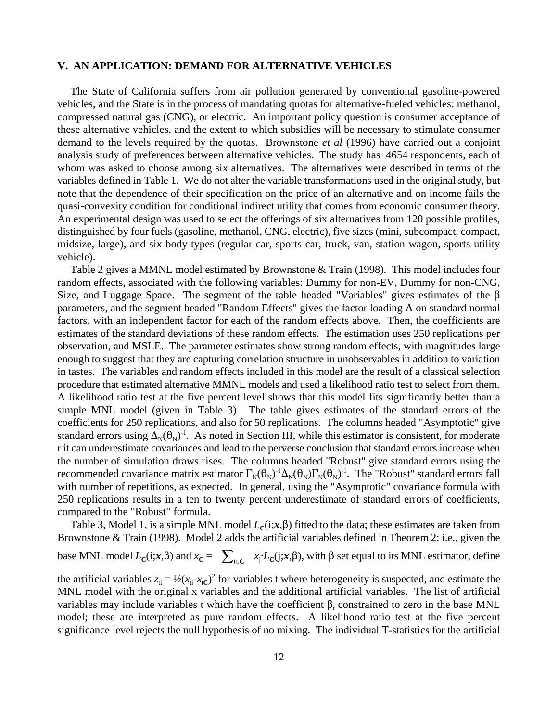#### **V. AN APPLICATION: DEMAND FOR ALTERNATIVE VEHICLES**

The State of California suffers from air pollution generated by conventional gasoline-powered vehicles, and the State is in the process of mandating quotas for alternative-fueled vehicles: methanol, compressed natural gas (CNG), or electric. An important policy question is consumer acceptance of these alternative vehicles, and the extent to which subsidies will be necessary to stimulate consumer demand to the levels required by the quotas. Brownstone *et al* (1996) have carried out a conjoint analysis study of preferences between alternative vehicles. The study has 4654 respondents, each of whom was asked to choose among six alternatives. The alternatives were described in terms of the variables defined in Table 1. We do not alter the variable transformations used in the original study, but note that the dependence of their specification on the price of an alternative and on income fails the quasi-convexity condition for conditional indirect utility that comes from economic consumer theory. An experimental design was used to select the offerings of six alternatives from 120 possible profiles, distinguished by four fuels (gasoline, methanol, CNG, electric), five sizes (mini, subcompact, compact, midsize, large), and six body types (regular car, sports car, truck, van, station wagon, sports utility vehicle).

Table 2 gives a MMNL model estimated by Brownstone & Train (1998). This model includes four random effects, associated with the following variables: Dummy for non-EV, Dummy for non-CNG, Size, and Luggage Space. The segment of the table headed "Variables" gives estimates of the  $\beta$ parameters, and the segment headed "Random Effects" gives the factor loading  $\Lambda$  on standard normal factors, with an independent factor for each of the random effects above. Then, the coefficients are estimates of the standard deviations of these random effects. The estimation uses 250 replications per observation, and MSLE. The parameter estimates show strong random effects, with magnitudes large enough to suggest that they are capturing correlation structure in unobservables in addition to variation in tastes. The variables and random effects included in this model are the result of a classical selection procedure that estimated alternative MMNL models and used a likelihood ratio test to select from them. A likelihood ratio test at the five percent level shows that this model fits significantly better than a simple MNL model (given in Table 3). The table gives estimates of the standard errors of the coefficients for 250 replications, and also for 50 replications. The columns headed "Asymptotic" give standard errors using  $\Delta_N(\theta_N)^{-1}$ . As noted in Section III, while this estimator is consistent, for moderate r it can underestimate covariances and lead to the perverse conclusion that standard errors increase when the number of simulation draws rises. The columns headed "Robust" give standard errors using the recommended covariance matrix estimator  $\Gamma_N(\theta_N)^{-1}\Delta_N(\theta_N)\Gamma_N(\theta_N)^{-1}$ . The "Robust" standard errors fall with number of repetitions, as expected. In general, using the "Asymptotic" covariance formula with 250 replications results in a ten to twenty percent underestimate of standard errors of coefficients, compared to the "Robust" formula.

Table 3, Model 1, is a simple MNL model  $L_c(i; x, \beta)$  fitted to the data; these estimates are taken from Brownstone & Train (1998). Model 2 adds the artificial variables defined in Theorem 2; i.e., given the

base MNL model  $L_c(i; x, \beta)$  and  $x_c = \sum_{j \in C} x_j L_c(j; x, \beta)$ , with  $\beta$  set equal to its MNL estimator, define

the artificial variables  $z_{ti} = \frac{1}{2}(x_{ti} - x_{tC})^2$  for variables t where heterogeneity is suspected, and estimate the MNL model with the original x variables and the additional artificial variables. The list of artificial variables may include variables t which have the coefficient  $\beta_t$  constrained to zero in the base MNL model; these are interpreted as pure random effects. A likelihood ratio test at the five percent significance level rejects the null hypothesis of no mixing. The individual T-statistics for the artificial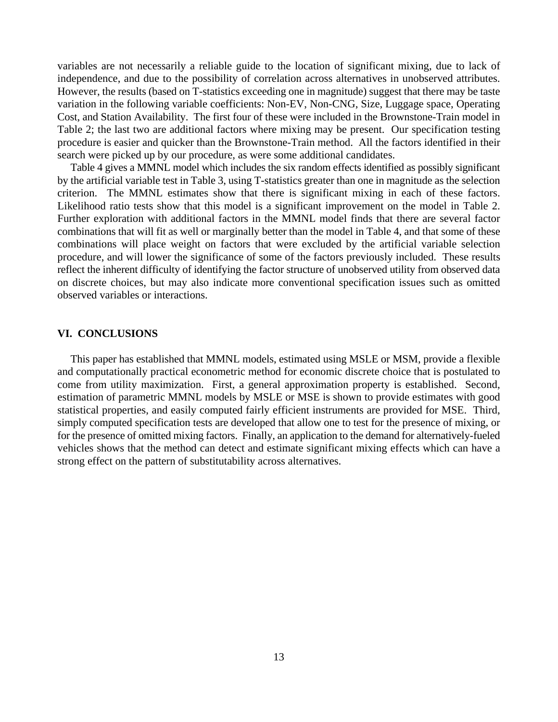variables are not necessarily a reliable guide to the location of significant mixing, due to lack of independence, and due to the possibility of correlation across alternatives in unobserved attributes. However, the results (based on T-statistics exceeding one in magnitude) suggest that there may be taste variation in the following variable coefficients: Non-EV, Non-CNG, Size, Luggage space, Operating Cost, and Station Availability. The first four of these were included in the Brownstone-Train model in Table 2; the last two are additional factors where mixing may be present. Our specification testing procedure is easier and quicker than the Brownstone-Train method. All the factors identified in their search were picked up by our procedure, as were some additional candidates.

Table 4 gives a MMNL model which includes the six random effects identified as possibly significant by the artificial variable test in Table 3, using T-statistics greater than one in magnitude as the selection criterion. The MMNL estimates show that there is significant mixing in each of these factors. Likelihood ratio tests show that this model is a significant improvement on the model in Table 2. Further exploration with additional factors in the MMNL model finds that there are several factor combinations that will fit as well or marginally better than the model in Table 4, and that some of these combinations will place weight on factors that were excluded by the artificial variable selection procedure, and will lower the significance of some of the factors previously included. These results reflect the inherent difficulty of identifying the factor structure of unobserved utility from observed data on discrete choices, but may also indicate more conventional specification issues such as omitted observed variables or interactions.

#### **VI. CONCLUSIONS**

This paper has established that MMNL models, estimated using MSLE or MSM, provide a flexible and computationally practical econometric method for economic discrete choice that is postulated to come from utility maximization. First, a general approximation property is established. Second, estimation of parametric MMNL models by MSLE or MSE is shown to provide estimates with good statistical properties, and easily computed fairly efficient instruments are provided for MSE. Third, simply computed specification tests are developed that allow one to test for the presence of mixing, or for the presence of omitted mixing factors. Finally, an application to the demand for alternatively-fueled vehicles shows that the method can detect and estimate significant mixing effects which can have a strong effect on the pattern of substitutability across alternatives.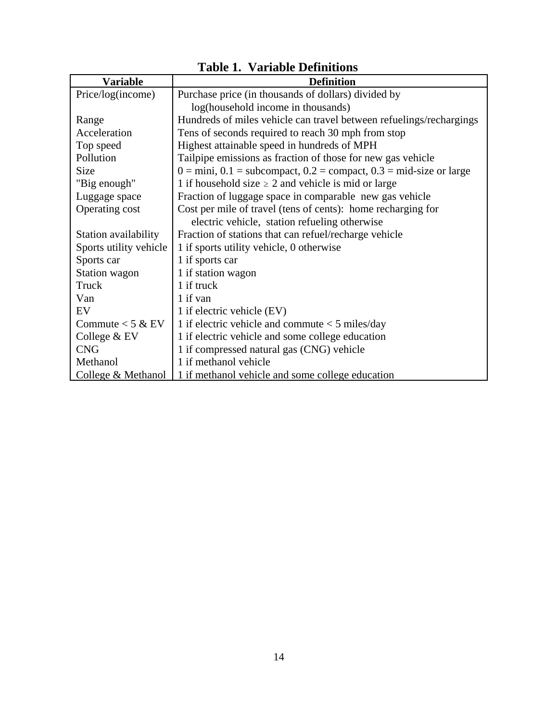| <b>Variable</b>        | <b>Definition</b>                                                                                |
|------------------------|--------------------------------------------------------------------------------------------------|
| Price/log(income)      | Purchase price (in thousands of dollars) divided by                                              |
|                        | log(household income in thousands)                                                               |
| Range                  | Hundreds of miles vehicle can travel between refuelings/rechargings                              |
| Acceleration           | Tens of seconds required to reach 30 mph from stop                                               |
| Top speed              | Highest attainable speed in hundreds of MPH                                                      |
| Pollution              | Tailpipe emissions as fraction of those for new gas vehicle                                      |
| <b>Size</b>            | $0 = \text{mini}, 0.1 = \text{subcompact}, 0.2 = \text{compact}, 0.3 = \text{mid-size or large}$ |
| "Big enough"           | 1 if household size $\geq$ 2 and vehicle is mid or large                                         |
| Luggage space          | Fraction of luggage space in comparable new gas vehicle                                          |
| Operating cost         | Cost per mile of travel (tens of cents): home recharging for                                     |
|                        | electric vehicle, station refueling otherwise                                                    |
| Station availability   | Fraction of stations that can refuel/recharge vehicle                                            |
| Sports utility vehicle | 1 if sports utility vehicle, 0 otherwise                                                         |
| Sports car             | 1 if sports car                                                                                  |
| Station wagon          | 1 if station wagon                                                                               |
| Truck                  | 1 if truck                                                                                       |
| Van                    | 1 if van                                                                                         |
| EV                     | 1 if electric vehicle (EV)                                                                       |
| Commute $<$ 5 & EV     | 1 if electric vehicle and commute $<$ 5 miles/day                                                |
| College $&$ EV         | 1 if electric vehicle and some college education                                                 |
| <b>CNG</b>             | 1 if compressed natural gas (CNG) vehicle                                                        |
| Methanol               | 1 if methanol vehicle                                                                            |
| College & Methanol     | 1 if methanol vehicle and some college education                                                 |

|  |  | <b>Table 1. Variable Definitions</b> |
|--|--|--------------------------------------|
|--|--|--------------------------------------|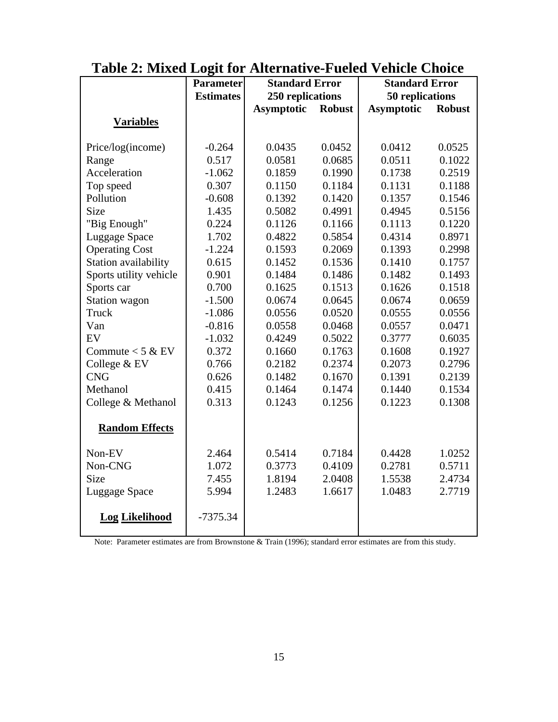|                        | <b>Parameter</b> | <b>Standard Error</b> |               | <b>Standard Error</b> |               |
|------------------------|------------------|-----------------------|---------------|-----------------------|---------------|
|                        | <b>Estimates</b> | 250 replications      |               | 50 replications       |               |
|                        |                  | <b>Asymptotic</b>     | <b>Robust</b> | <b>Asymptotic</b>     | <b>Robust</b> |
| <b>Variables</b>       |                  |                       |               |                       |               |
|                        |                  |                       |               |                       |               |
| Price/log(income)      | $-0.264$         | 0.0435                | 0.0452        | 0.0412                | 0.0525        |
| Range                  | 0.517            | 0.0581                | 0.0685        | 0.0511                | 0.1022        |
| Acceleration           | $-1.062$         | 0.1859                | 0.1990        | 0.1738                | 0.2519        |
| Top speed              | 0.307            | 0.1150                | 0.1184        | 0.1131                | 0.1188        |
| Pollution              | $-0.608$         | 0.1392                | 0.1420        | 0.1357                | 0.1546        |
| Size                   | 1.435            | 0.5082                | 0.4991        | 0.4945                | 0.5156        |
| "Big Enough"           | 0.224            | 0.1126                | 0.1166        | 0.1113                | 0.1220        |
| Luggage Space          | 1.702            | 0.4822                | 0.5854        | 0.4314                | 0.8971        |
| <b>Operating Cost</b>  | $-1.224$         | 0.1593                | 0.2069        | 0.1393                | 0.2998        |
| Station availability   | 0.615            | 0.1452                | 0.1536        | 0.1410                | 0.1757        |
| Sports utility vehicle | 0.901            | 0.1484                | 0.1486        | 0.1482                | 0.1493        |
| Sports car             | 0.700            | 0.1625                | 0.1513        | 0.1626                | 0.1518        |
| Station wagon          | $-1.500$         | 0.0674                | 0.0645        | 0.0674                | 0.0659        |
| Truck                  | $-1.086$         | 0.0556                | 0.0520        | 0.0555                | 0.0556        |
| Van                    | $-0.816$         | 0.0558                | 0.0468        | 0.0557                | 0.0471        |
| EV                     | $-1.032$         | 0.4249                | 0.5022        | 0.3777                | 0.6035        |
| Commute $<$ 5 & EV     | 0.372            | 0.1660                | 0.1763        | 0.1608                | 0.1927        |
| College & EV           | 0.766            | 0.2182                | 0.2374        | 0.2073                | 0.2796        |
| <b>CNG</b>             | 0.626            | 0.1482                | 0.1670        | 0.1391                | 0.2139        |
| Methanol               | 0.415            | 0.1464                | 0.1474        | 0.1440                | 0.1534        |
| College & Methanol     | 0.313            | 0.1243                | 0.1256        | 0.1223                | 0.1308        |
|                        |                  |                       |               |                       |               |
| <b>Random Effects</b>  |                  |                       |               |                       |               |
| Non-EV                 | 2.464            | 0.5414                | 0.7184        | 0.4428                | 1.0252        |
| Non-CNG                | 1.072            | 0.3773                | 0.4109        | 0.2781                | 0.5711        |
| Size                   | 7.455            | 1.8194                | 2.0408        | 1.5538                | 2.4734        |
| Luggage Space          | 5.994            | 1.2483                | 1.6617        | 1.0483                | 2.7719        |
| <b>Log Likelihood</b>  | $-7375.34$       |                       |               |                       |               |

# **Table 2: Mixed Logit for Alternative-Fueled Vehicle Choice**

Note: Parameter estimates are from Brownstone & Train (1996); standard error estimates are from this study.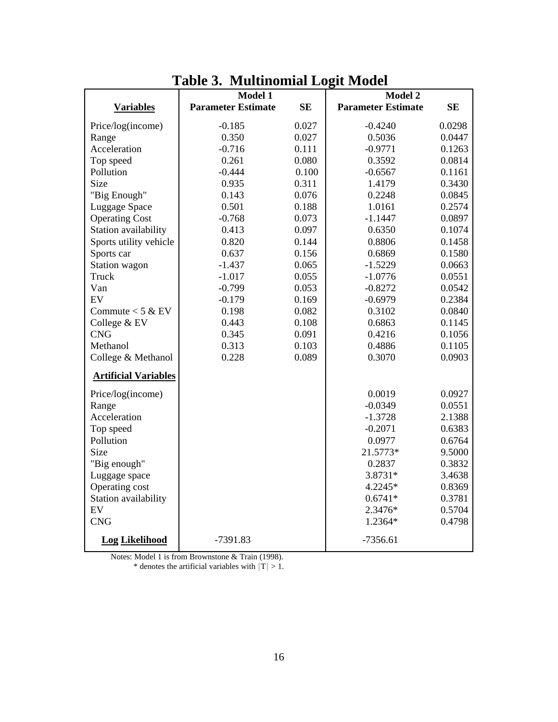|                             | Model 1                   |           | Model 2                   |           |
|-----------------------------|---------------------------|-----------|---------------------------|-----------|
| <b>Variables</b>            | <b>Parameter Estimate</b> | <b>SE</b> | <b>Parameter Estimate</b> | <b>SE</b> |
| Price/log(income)           | $-0.185$                  | 0.027     | $-0.4240$                 | 0.0298    |
| Range                       | 0.350                     | 0.027     | 0.5036                    | 0.0447    |
| Acceleration                | $-0.716$                  | 0.111     | $-0.9771$                 | 0.1263    |
| Top speed                   | 0.261                     | 0.080     | 0.3592                    | 0.0814    |
| Pollution                   | $-0.444$                  | 0.100     | $-0.6567$                 | 0.1161    |
| Size                        | 0.935                     | 0.311     | 1.4179                    | 0.3430    |
| "Big Enough"                | 0.143                     | 0.076     | 0.2248                    | 0.0845    |
| Luggage Space               | 0.501                     | 0.188     | 1.0161                    | 0.2574    |
| <b>Operating Cost</b>       | $-0.768$                  | 0.073     | $-1.1447$                 | 0.0897    |
| Station availability        | 0.413                     | 0.097     | 0.6350                    | 0.1074    |
| Sports utility vehicle      | 0.820                     | 0.144     | 0.8806                    | 0.1458    |
| Sports car                  | 0.637                     | 0.156     | 0.6869                    | 0.1580    |
| Station wagon               | $-1.437$                  | 0.065     | $-1.5229$                 | 0.0663    |
| Truck                       | $-1.017$                  | 0.055     | $-1.0776$                 | 0.0551    |
| Van                         | $-0.799$                  | 0.053     | $-0.8272$                 | 0.0542    |
| EV                          | $-0.179$                  | 0.169     | $-0.6979$                 | 0.2384    |
| Commute $<$ 5 & EV          | 0.198                     | 0.082     | 0.3102                    | 0.0840    |
| College & EV                | 0.443                     | 0.108     | 0.6863                    | 0.1145    |
| <b>CNG</b>                  | 0.345                     | 0.091     | 0.4216                    | 0.1056    |
| Methanol                    | 0.313                     | 0.103     | 0.4886                    | 0.1105    |
| College & Methanol          | 0.228                     | 0.089     | 0.3070                    | 0.0903    |
| <b>Artificial Variables</b> |                           |           |                           |           |
| Price/log(income)           |                           |           | 0.0019                    | 0.0927    |
| Range                       |                           |           | $-0.0349$                 | 0.0551    |
| Acceleration                |                           |           | $-1.3728$                 | 2.1388    |
| Top speed                   |                           |           | $-0.2071$                 | 0.6383    |
| Pollution                   |                           |           | 0.0977                    | 0.6764    |
| <b>Size</b>                 |                           |           | 21.5773*                  | 9.5000    |
| "Big enough"                |                           |           | 0.2837                    | 0.3832    |
| Luggage space               |                           |           | 3.8731*                   | 3.4638    |
| Operating cost              |                           |           | 4.2245*                   | 0.8369    |
| Station availability        |                           |           | $0.6741*$                 | 0.3781    |
| EV                          |                           |           | 2.3476*                   | 0.5704    |
| <b>CNG</b>                  |                           |           | 1.2364*                   | 0.4798    |
| <b>Log Likelihood</b>       | $-7391.83$                |           | $-7356.61$                |           |

**Table 3. Multinomial Logit Model**

Notes: Model 1 is from Brownstone & Train (1998). \* denotes the artificial variables with  $|T| > 1$ .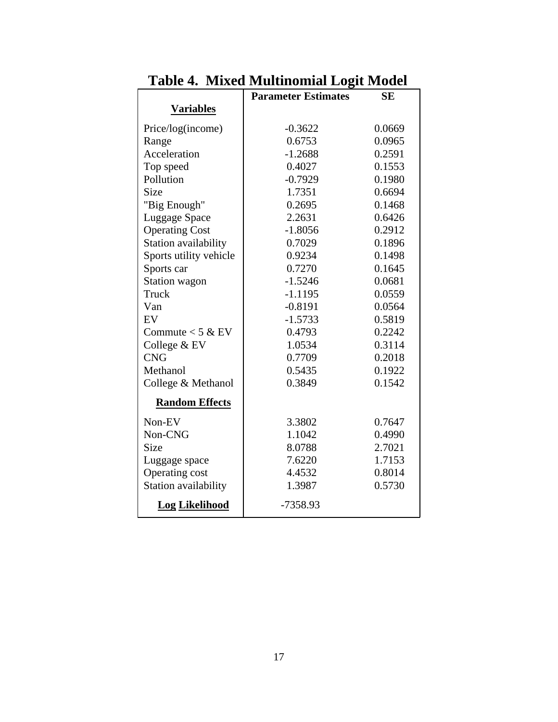|                        | <b>Parameter Estimates</b> | <b>SE</b> |
|------------------------|----------------------------|-----------|
| <b>Variables</b>       |                            |           |
| Price/log(income)      | $-0.3622$                  | 0.0669    |
| Range                  | 0.6753                     | 0.0965    |
| Acceleration           | $-1.2688$                  | 0.2591    |
| Top speed              | 0.4027                     | 0.1553    |
| Pollution              | $-0.7929$                  | 0.1980    |
| <b>Size</b>            | 1.7351                     | 0.6694    |
| "Big Enough"           | 0.2695                     | 0.1468    |
| Luggage Space          | 2.2631                     | 0.6426    |
| <b>Operating Cost</b>  | $-1.8056$                  | 0.2912    |
| Station availability   | 0.7029                     | 0.1896    |
| Sports utility vehicle | 0.9234                     | 0.1498    |
| Sports car             | 0.7270                     | 0.1645    |
| Station wagon          | $-1.5246$                  | 0.0681    |
| Truck                  | $-1.1195$                  | 0.0559    |
| Van                    | $-0.8191$                  | 0.0564    |
| EV                     | $-1.5733$                  | 0.5819    |
| Commute $<$ 5 & EV     | 0.4793                     | 0.2242    |
| College & EV           | 1.0534                     | 0.3114    |
| <b>CNG</b>             | 0.7709                     | 0.2018    |
| Methanol               | 0.5435                     | 0.1922    |
| College & Methanol     | 0.3849                     | 0.1542    |
| <b>Random Effects</b>  |                            |           |
| Non-EV                 | 3.3802                     | 0.7647    |
| Non-CNG                | 1.1042                     | 0.4990    |
| <b>Size</b>            | 8.0788                     | 2.7021    |
| Luggage space          | 7.6220                     | 1.7153    |
| Operating cost         | 4.4532                     | 0.8014    |
| Station availability   | 1.3987                     | 0.5730    |
| <b>Log Likelihood</b>  | -7358.93                   |           |

**Table 4. Mixed Multinomial Logit Model**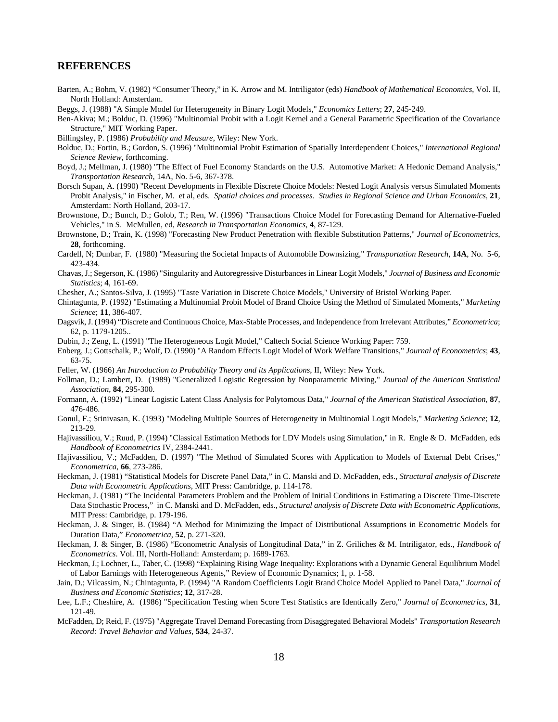#### **REFERENCES**

- Barten, A.; Bohm, V. (1982) "Consumer Theory," in K. Arrow and M. Intriligator (eds) *Handbook of Mathematical Economics*, Vol. II, North Holland: Amsterdam.
- Beggs, J. (1988) "A Simple Model for Heterogeneity in Binary Logit Models," *Economics Letters*; **27**, 245-249.
- Ben-Akiva; M.; Bolduc, D. (1996) "Multinomial Probit with a Logit Kernel and a General Parametric Specification of the Covariance Structure," MIT Working Paper.
- Billingsley, P. (1986) *Probability and Measure*, Wiley: New York.
- Bolduc, D.; Fortin, B.; Gordon, S. (1996) "Multinomial Probit Estimation of Spatially Interdependent Choices," *International Regional Science Review*, forthcoming.
- Boyd, J.; Mellman, J. (1980) "The Effect of Fuel Economy Standards on the U.S. Automotive Market: A Hedonic Demand Analysis," *Transportation Research*, 14A, No. 5-6, 367-378.
- Borsch Supan, A. (1990) "Recent Developments in Flexible Discrete Choice Models: Nested Logit Analysis versus Simulated Moments Probit Analysis," in Fischer, M. et al, eds. *Spatial choices and processes. Studies in Regional Science and Urban Economics*, **21**, Amsterdam: North Holland, 203-17.
- Brownstone, D.; Bunch, D.; Golob, T.; Ren, W. (1996) "Transactions Choice Model for Forecasting Demand for Alternative-Fueled Vehicles," in S. McMullen, ed, *Research in Transportation Economics*, **4**, 87-129.
- Brownstone, D.; Train, K. (1998) "Forecasting New Product Penetration with flexible Substitution Patterns," *Journal of Econometrics*, **28**, forthcoming.
- Cardell, N; Dunbar, F. (1980) "Measuring the Societal Impacts of Automobile Downsizing," *Transportation Research*, **14A**, No. 5-6, 423-434.
- Chavas, J.; Segerson, K. (1986) "Singularity and Autoregressive Disturbances in Linear Logit Models," *Journal of Business and Economic Statistics*; **4**, 161-69.
- Chesher, A.; Santos-Silva, J. (1995) "Taste Variation in Discrete Choice Models," University of Bristol Working Paper.
- Chintagunta, P. (1992) "Estimating a Multinomial Probit Model of Brand Choice Using the Method of Simulated Moments," *Marketing Science*; **11**, 386-407.
- Dagsvik, J. (1994) "Discrete and Continuous Choice, Max-Stable Processes, and Independence from Irrelevant Attributes," *Econometrica*; 62, p. 1179-1205..
- Dubin, J.; Zeng, L. (1991) "The Heterogeneous Logit Model," Caltech Social Science Working Paper: 759.
- Enberg, J.; Gottschalk, P.; Wolf, D. (1990) "A Random Effects Logit Model of Work Welfare Transitions," *Journal of Econometrics*; **43**, 63-75.
- Feller, W. (1966) *An Introduction to Probability Theory and its Applications*, II, Wiley: New York.
- Follman, D.; Lambert, D. (1989) "Generalized Logistic Regression by Nonparametric Mixing," *Journal of the American Statistical Association*, **84**, 295-300.
- Formann, A. (1992) "Linear Logistic Latent Class Analysis for Polytomous Data," *Journal of the American Statistical Association*, **87**, 476-486.
- Gonul, F.; Srinivasan, K. (1993) "Modeling Multiple Sources of Heterogeneity in Multinomial Logit Models," *Marketing Science*; **12**, 213-29.
- Hajivassiliou, V.; Ruud, P. (1994) "Classical Estimation Methods for LDV Models using Simulation," in R. Engle & D. McFadden, eds *Handbook of Econometrics* IV, 2384-2441.
- Hajivassiliou, V.; McFadden, D. (1997) "The Method of Simulated Scores with Application to Models of External Debt Crises," *Econometrica*, **66**, 273-286.
- Heckman, J. (1981) "Statistical Models for Discrete Panel Data," in C. Manski and D. McFadden, eds., *Structural analysis of Discrete Data with Econometric Applications*, MIT Press: Cambridge, p. 114-178.
- Heckman, J. (1981) "The Incidental Parameters Problem and the Problem of Initial Conditions in Estimating a Discrete Time-Discrete Data Stochastic Process," in C. Manski and D. McFadden, eds., *Structural analysis of Discrete Data with Econometric Applications*, MIT Press: Cambridge, p. 179-196.
- Heckman, J. & Singer, B. (1984) "A Method for Minimizing the Impact of Distributional Assumptions in Econometric Models for Duration Data," *Econometrica*, **52**, p. 271-320.
- Heckman, J. & Singer, B. (1986) "Econometric Analysis of Longitudinal Data," in Z. Griliches & M. Intriligator, eds., *Handbook of Econometrics*. Vol. III, North-Holland: Amsterdam; p. 1689-1763.
- Heckman, J.; Lochner, L., Taber, C. (1998) "Explaining Rising Wage Inequality: Explorations with a Dynamic General Equilibrium Model of Labor Earnings with Heterogeneous Agents," Review of Economic Dynamics; 1, p. 1-58.
- Jain, D.; Vilcassim, N.; Chintagunta, P. (1994) "A Random Coefficients Logit Brand Choice Model Applied to Panel Data," *Journal of Business and Economic Statistics*; **12**, 317-28.
- Lee, L.F.; Cheshire, A. (1986) "Specification Testing when Score Test Statistics are Identically Zero," *Journal of Econometrics*, **31**, 121-49.
- McFadden, D; Reid, F. (1975) "Aggregate Travel Demand Forecasting from Disaggregated Behavioral Models" *Transportation Research Record: Travel Behavior and Values*, **534**, 24-37.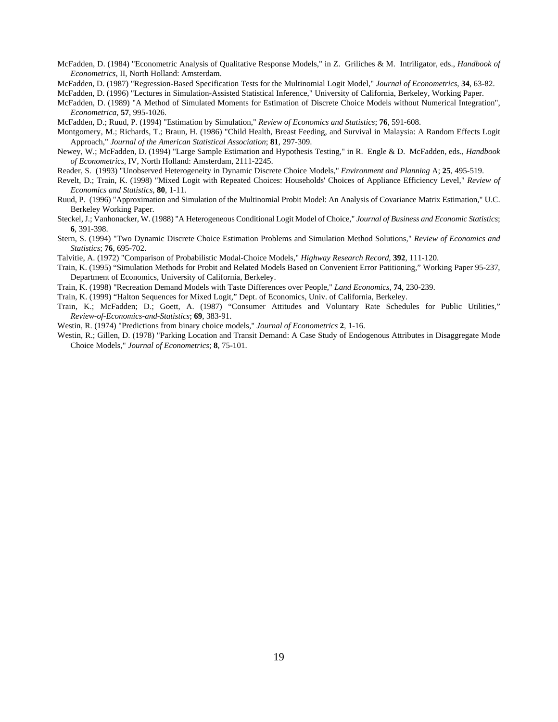- McFadden, D. (1984) "Econometric Analysis of Qualitative Response Models," in Z. Griliches & M. Intriligator, eds., *Handbook of Econometrics*, II, North Holland: Amsterdam.
- McFadden, D. (1987) "Regression-Based Specification Tests for the Multinomial Logit Model," *Journal of Econometrics*, **34**, 63-82.

McFadden, D. (1996) "Lectures in Simulation-Assisted Statistical Inference," University of California, Berkeley, Working Paper.

- McFadden, D. (1989) "A Method of Simulated Moments for Estimation of Discrete Choice Models without Numerical Integration", *Econometrica*, **57**, 995-1026.
- McFadden, D.; Ruud, P. (1994) "Estimation by Simulation," *Review of Economics and Statistics*; **76**, 591-608.
- Montgomery, M.; Richards, T.; Braun, H. (1986) "Child Health, Breast Feeding, and Survival in Malaysia: A Random Effects Logit Approach," *Journal of the American Statistical Association*; **81**, 297-309.
- Newey, W.; McFadden, D. (1994) "Large Sample Estimation and Hypothesis Testing," in R. Engle & D. McFadden, eds., *Handbook of Econometrics*, IV, North Holland: Amsterdam, 2111-2245.
- Reader, S. (1993) "Unobserved Heterogeneity in Dynamic Discrete Choice Models," *Environment and Planning* A; **25**, 495-519.
- Revelt, D.; Train, K. (1998) "Mixed Logit with Repeated Choices: Households' Choices of Appliance Efficiency Level," *Review of Economics and Statistics*, **80**, 1-11.
- Ruud, P. (1996) "Approximation and Simulation of the Multinomial Probit Model: An Analysis of Covariance Matrix Estimation," U.C. Berkeley Working Paper.
- Steckel, J.; Vanhonacker, W. (1988) "A Heterogeneous Conditional Logit Model of Choice," *Journal of Business and Economic Statistics*; **6**, 391-398.
- Stern, S. (1994) "Two Dynamic Discrete Choice Estimation Problems and Simulation Method Solutions," *Review of Economics and Statistics*; **76**, 695-702.
- Talvitie, A. (1972) "Comparison of Probabilistic Modal-Choice Models," *Highway Research Record*, **392**, 111-120.
- Train, K. (1995) "Simulation Methods for Probit and Related Models Based on Convenient Error Patitioning," Working Paper 95-237, Department of Economics, University of California, Berkeley.
- Train, K. (1998) "Recreation Demand Models with Taste Differences over People," *Land Economics*, **74**, 230-239.
- Train, K. (1999) "Halton Sequences for Mixed Logit," Dept. of Economics, Univ. of California, Berkeley.
- Train, K.; McFadden; D.; Goett, A. (1987) "Consumer Attitudes and Voluntary Rate Schedules for Public Utilities," *Review-of-Economics-and-Statistics*; **69**, 383-91.
- Westin, R. (1974) "Predictions from binary choice models," *Journal of Econometrics* **2**, 1-16.
- Westin, R.; Gillen, D. (1978) "Parking Location and Transit Demand: A Case Study of Endogenous Attributes in Disaggregate Mode Choice Models," *Journal of Econometrics*; **8**, 75-101.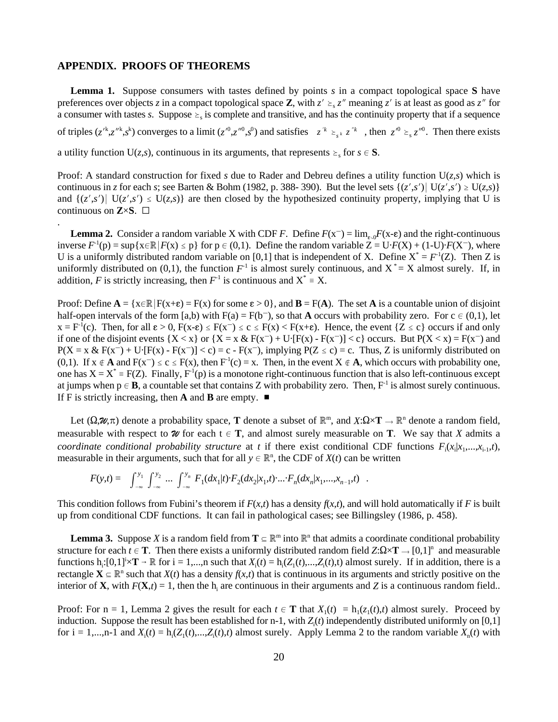#### **APPENDIX. PROOFS OF THEOREMS**

.

of triples  $(z'^{k}, z''^{k}, s^{k})$  converges to a limit  $(z'^{0}, z''^{0}, s^{0})$  and satisfies  $z'^{k} \geq_{s} z''^{k}$ , then  $z'^{0} \geq_{s} z''^{0}$ . Then there exists **Lemma 1.** Suppose consumers with tastes defined by points *s* in a compact topological space **S** have preferences over objects *z* in a compact topological space **Z**, with  $z' \geq z$  meaning  $z'$  is at least as good as  $z''$  for a consumer with tastes *s*. Suppose  $\geq$  is complete and transitive, and has the continuity property that if a sequence a utility function  $U(z, s)$ , continuous in its arguments, that represents  $\geq_s$  for  $s \in S$ .

Proof: A standard construction for fixed *s* due to Rader and Debreu defines a utility function  $U(z, s)$  which is continuous in *z* for each *s*; see Barten & Bohm (1982, p. 388-390). But the level sets  $\{(z', s') | U(z', s') \geq U(z, s)\}$ and  $\{(z', s') | U(z', s') \leq U(z, s)\}\$ are then closed by the hypothesized continuity property, implying that U is continuous on  $\mathbf{Z}\times\mathbf{S}$ .  $\square$ 

**Lemma 2.** Consider a random variable X with CDF *F*. Define  $F(x^-) = \lim_{\varepsilon \to 0} F(x-\varepsilon)$  and the right-continuous inverse  $F^{-1}(p) = \sup\{x \in \mathbb{R} | F(x) \leq p\}$  for  $p \in (0,1)$ . Define the random variable  $Z = U \cdot F(X) + (1-U) \cdot F(X^{-})$ , where U is a uniformly distributed random variable on [0,1] that is independent of X. Define  $X^* = F^{-1}(Z)$ . Then Z is uniformly distributed on (0,1), the function  $F<sup>1</sup>$  is almost surely continuous, and  $X^* = X$  almost surely. If, in addition, *F* is strictly increasing, then  $F<sup>-1</sup>$  is continuous and  $X^* = X$ .

Proof: Define  $A = \{x \in \mathbb{R} \mid F(x+\varepsilon) = F(x) \text{ for some } \varepsilon > 0\}$ , and  $B = F(A)$ . The set A is a countable union of disjoint half-open intervals of the form [a,b) with  $F(a) = F(b^-)$ , so that **A** occurs with probability zero. For  $c \in (0,1)$ , let  $x = F^{-1}(c)$ . Then, for all  $\varepsilon > 0$ ,  $F(x-\varepsilon) \le F(x) \le C \le F(x) \le F(x+\varepsilon)$ . Hence, the event  $\{Z \le c\}$  occurs if and only if one of the disjoint events  ${X < x}$  or  ${X = x \& F(x^-) + U(F(x) - F(x^-)) < c}$  occurs. But  $P(X < x) = F(x^-)$  and  $P(X = x \& F(x<sup>-</sup>) + U[F(x) - F(x<sup>-</sup>)] < c$ ) = c -  $F(x<sup>-</sup>)$ , implying  $P(Z \le c) = c$ . Thus, Z is uniformly distributed on (0,1). If  $x \notin A$  and  $F(x^-) \le c \le F(x)$ , then  $F^{-1}(c) = x$ . Then, in the event  $X \notin A$ , which occurs with probability one, one has  $X = X^* = F(Z)$ . Finally,  $F^1(p)$  is a monotone right-continuous function that is also left-continuous except at jumps when  $p \in B$ , a countable set that contains Z with probability zero. Then,  $F^{-1}$  is almost surely continuous. If F is strictly increasing, then **A** and **B** are empty.  $\blacksquare$ 

Let  $(\Omega, \mathcal{U}, \pi)$  denote a probability space, **T** denote a subset of  $\mathbb{R}^m$ , and  $X: \Omega \times \mathbf{T} \to \mathbb{R}^n$  denote a random field, measurable with respect to  $\mathcal{U}$  for each  $t \in T$ , and almost surely measurable on  $T$ . We say that *X* admits a *coordinate conditional probability structure* at *t* if there exist conditional CDF functions  $F_i(x_i|x_1,...,x_{i-1},t)$ , measurable in their arguments, such that for all  $y \in \mathbb{R}^n$ , the CDF of  $X(t)$  can be written

$$
F(y,t) = \int_{-\infty}^{y_1} \int_{-\infty}^{y_2} \cdots \int_{-\infty}^{y_n} F_1(dx_1|t) \cdot F_2(dx_2|x_1,t) \cdot \cdots \cdot F_n(dx_n|x_1,\ldots,x_{n-1},t) .
$$

This condition follows from Fubini's theorem if  $F(x,t)$  has a density  $f(x,t)$ , and will hold automatically if *F* is built up from conditional CDF functions. It can fail in pathological cases; see Billingsley (1986, p. 458).

**Lemma 3.** Suppose X is a random field from  $T \subseteq \mathbb{R}^m$  into  $\mathbb{R}^n$  that admits a coordinate conditional probability structure for each  $t \in \mathbf{T}$ . Then there exists a uniformly distributed random field  $Z:\Omega \times \mathbf{T} \to [0,1]^n$  and measurable functions h<sub>i</sub>: $[0,1]^{\dagger} \times T \to \mathbb{R}$  for  $i = 1,...,n$  such that  $X_i(t) = h_i(Z_i(t),...,Z_i(t),t)$  almost surely. If in addition, there is a rectangle  $\mathbf{X} \subseteq \mathbb{R}^n$  such that  $X(t)$  has a density  $f(x,t)$  that is continuous in its arguments and strictly positive on the interior of **X**, with  $F(\mathbf{X},t) = 1$ , then the h<sub>i</sub> are continuous in their arguments and *Z* is a continuous random field..

Proof: For  $n = 1$ , Lemma 2 gives the result for each  $t \in \mathbf{T}$  that  $X_1(t) = h_1(z_1(t), t)$  almost surely. Proceed by induction. Suppose the result has been established for  $n-1$ , with  $Z_i(t)$  independently distributed uniformly on [0,1] for  $i = 1,...,n-1$  and  $X_i(t) = h_i(Z_1(t),...,Z_i(t),t)$  almost surely. Apply Lemma 2 to the random variable  $X_n(t)$  with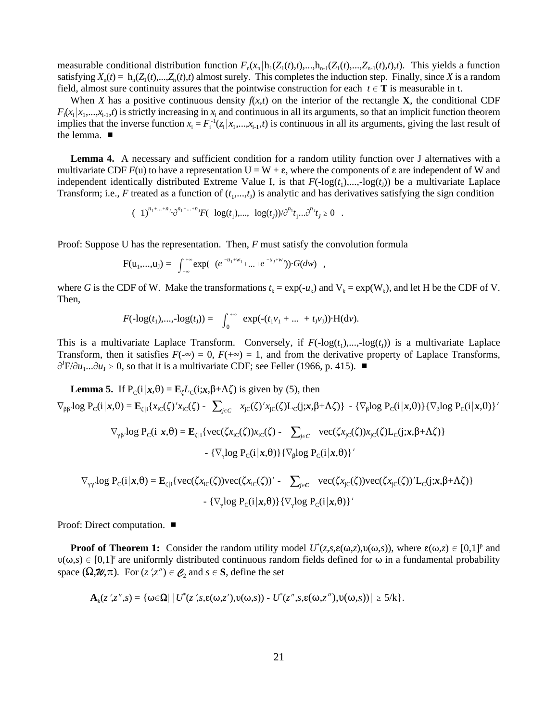measurable conditional distribution function  $F_n(x_n | h_1(Z_1(t), t), ..., h_{n-1}(Z_1(t), ..., Z_{n-1}(t), t)$ . This yields a function satisfying  $X_n(t) = h_n(Z_1(t),...,Z_n(t),t)$  almost surely. This completes the induction step. Finally, since *X* is a random field, almost sure continuity assures that the pointwise construction for each  $t \in T$  is measurable in t.

When *X* has a positive continuous density  $f(x,t)$  on the interior of the rectangle **X**, the conditional CDF  $F_i(x_i | x_1,...,x_{i-1},t)$  is strictly increasing in  $x_i$  and continuous in all its arguments, so that an implicit function theorem implies that the inverse function  $x_i = F_i^{-1}(z_i | x_1,...,x_{i-1},t)$  is continuous in all its arguments, giving the last result of the lemma.

**Lemma 4.** A necessary and sufficient condition for a random utility function over J alternatives with a multivariate CDF  $F(u)$  to have a representation  $U = W + \varepsilon$ , where the components of  $\varepsilon$  are independent of W and independent identically distributed Extreme Value I, is that  $F(\text{-log}(t_1),...,\text{-log}(t_l))$  be a multivariate Laplace Transform; i.e., *F* treated as a function of  $(t_1, \ldots, t_j)$  is analytic and has derivatives satisfying the sign condition

$$
(-1)^{n_1 + ... + n_J} \cdot \partial^{n_1 + ... + n_J} F(-\log(t_1), ..., -\log(t_J)) / \partial^{n_1} t_1 ... \partial^{n_J} t_J \ge 0 .
$$

Proof: Suppose U has the representation. Then, *F* must satisfy the convolution formula

$$
F(u_1,...,u_J) = \int_{-\infty}^{+\infty} \exp(-(e^{-u_1+w_1}+...+e^{-u_J+w_J})) \cdot G(dw) ,
$$

where *G* is the CDF of W. Make the transformations  $t_k = \exp(-u_k)$  and  $V_k = \exp(W_k)$ , and let H be the CDF of V. Then,

$$
F(\text{-log}(t_1),...,\text{-log}(t_J)) = \int_0^{+\infty} \exp(-(t_1v_1+...+t_Jv_J)) \cdot H(dv).
$$

This is a multivariate Laplace Transform. Conversely, if  $F(-\log(t_1),..., -\log(t_1))$  is a multivariate Laplace Transform, then it satisfies  $F(-\infty) = 0$ ,  $F(+\infty) = 1$ , and from the derivative property of Laplace Transforms,  $\partial^J F/\partial u_1...\partial u_J \ge 0$ , so that it is a multivariate CDF; see Feller (1966, p. 415).

**Lemma 5.** If 
$$
P_C(i|x, \theta) = \mathbf{E}_{\zeta}L_C(i;x, \beta+\Lambda\zeta)
$$
 is given by (5), then  
\n
$$
\nabla_{\beta\beta} \log P_C(i|x, \theta) = \mathbf{E}_{\zeta|i}\{x_{ic}(\zeta)'x_{ic}(\zeta) - \sum_{j \in C} x_{jc}(\zeta)'x_{jc}(\zeta)L_C(j;x, \beta+\Lambda\zeta)\} - \{\nabla_{\beta}\log P_C(i|x, \theta)\}\{\nabla_{\beta}\log P_C(i|x, \theta)\} - \{\nabla_{\gamma\beta}\log P_C(i|x, \theta) - \mathbf{E}_{\zeta|i}\{\text{vec}(\zetax_{ic}(\zeta))x_{ic}(\zeta) - \sum_{j \in C} \text{vec}(\zetax_{jc}(\zeta))x_{jc}(\zeta)L_C(j;x, \beta+\Lambda\zeta)\} - \{\nabla_{\gamma}\log P_C(i|x, \theta)\}\{\nabla_{\beta}\log P_C(i|x, \theta)\} - \{\nabla_{\gamma}\log P_C(i|x, \theta)\}\{\nabla_{\beta}\log P_C(i|x, \theta)\} - \{\nabla_{\gamma}\log P_C(i|x, \theta)\}\n\}
$$

$$
\nabla_{\gamma\gamma'} log P_C(i | \mathbf{x}, \theta) = \mathbf{E}_{\zeta|i} \{ vec(\zeta x_{iC}(\zeta)) vec(\zeta x_{iC}(\zeta))' - \sum_{j \in C} vec(\zeta x_{jC}(\zeta)) vec(\zeta x_{jC}(\zeta))' L_C(j; \mathbf{x}, \beta + \Lambda \zeta) \}
$$

$$
- \{\nabla_{\gamma} log P_C(i | \mathbf{x}, \theta)\} \{\nabla_{\gamma} log P_C(i | \mathbf{x}, \theta)\}'
$$

Proof: Direct computation. ■

**Proof of Theorem 1:** Consider the random utility model  $U^*(z,s,\varepsilon(\omega,z),\nu(\omega,s))$ , where  $\varepsilon(\omega,z) \in [0,1]^p$  and  $\nu(\omega,s) \in [0,1]^r$  are uniformly distributed continuous random fields defined for  $\omega$  in a fundamental probability space  $(\Omega, \mathcal{U}, \pi)$ . For  $(z', z'') \in \mathcal{C}_2$  and  $s \in S$ , define the set

$$
\mathbf{A}_k(z';z'',s)=\{\omega \in \Omega \mid |U^*(z';s,\epsilon(\omega,z'),\upsilon(\omega,s)) - U^*(z'',s,\epsilon(\omega,z''),\upsilon(\omega,s))| \geq 5/k\}.
$$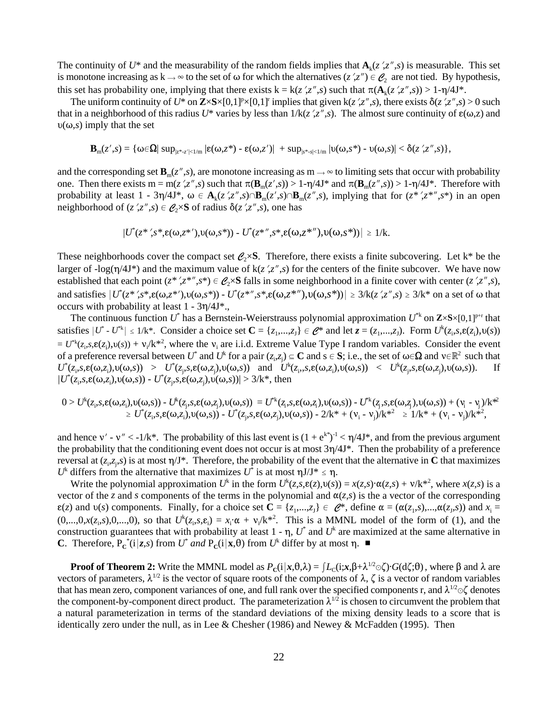The continuity of  $U^*$  and the measurability of the random fields implies that  $\mathbf{A}_k(z',z'',s)$  is measurable. This set is monotone increasing as  $k \to \infty$  to the set of  $\omega$  for which the alternatives (*z*',*z*")  $\in \mathcal{C}_2$  are not tied. By hypothesis, this set has probability one, implying that there exists  $k = k(z', z'', s)$  such that  $\pi(A_k(z', z'', s)) > 1-\eta/4J^*$ .

The uniform continuity of  $U^*$  on  $\mathbb{Z}\times S\times[0,1]^p\times[0,1]^r$  implies that given  $k(z',z'',s)$ , there exists  $\delta(z',z'',s) > 0$  such that in a neighborhood of this radius  $U^*$  varies by less than  $1/k(z',z'',s)$ . The almost sure continuity of  $\varepsilon(\omega,z)$  and  $v(\omega,s)$  imply that the set

$$
\boldsymbol{B}_m(z',s)=\{\omega\in\!\boldsymbol{\Omega}|\sup\nolimits_{|z^*-z'|<1/m}| \epsilon(\omega,z^*)-\epsilon(\omega,z')| \ +\sup\nolimits_{|s^*-s|<1/m}| \upsilon(\omega,s^*)-\upsilon(\omega,s)|<\delta(z',z'',s)\},
$$

and the corresponding set  $\mathbf{B}_{m}(z'',s)$ , are monotone increasing as  $m \to \infty$  to limiting sets that occur with probability one. Then there exists  $m = m(z', z'', s)$  such that  $\pi(\mathbf{B}_m(z', s)) > 1 - \eta/4\mathbf{J}^*$  and  $\pi(\mathbf{B}_m(z'', s)) > 1 - \eta/4\mathbf{J}^*$ . Therefore with probability at least  $1 - 3\eta/4J^*$ ,  $\omega \in A_k(z',z'',s) \cap B_m(z',s) \cap B_m(z'',s)$ , implying that for  $(z^*,z^{*,*,s^*})$  in an open neighborhood of  $(z',z'',s) \in \mathcal{C}_2 \times S$  of radius  $\delta(z',z'',s)$ , one has

$$
|U^*(z^*,s^*,\varepsilon(\omega,z^*'),v(\omega,s^*)) - U^*(z^{**},s^*,\varepsilon(\omega,z^{**'}),v(\omega,s^*))| \geq 1/k.
$$

These neighborhoods cover the compact set  $\mathcal{C}_2 \times S$ . Therefore, there exists a finite subcovering. Let k<sup>\*</sup> be the larger of -log( $\eta$ /4J\*) and the maximum value of k( $z$ ', $z''$ , $s$ ) for the centers of the finite subcover. We have now established that each point  $(z^*, z^{*,}, s^*) \in \mathcal{C}_2 \times S$  falls in some neighborhood in a finite cover with center  $(z', z'', s)$ , and satisfies  $|U^*(z^*, s^*, \varepsilon(\omega, z^*))$ ,  $U(\omega, s^*) - U^*(z^{*,*,*, \varepsilon(\omega, z^*)})$ ,  $U(\omega, s^*)| \geq 3/k(z', z'', s) \geq 3/k^*$  on a set of  $\omega$  that occurs with probability at least  $1 - 3\eta/4J^*$ .

The continuous function  $U^*$  has a Bernstein-Weierstrauss polynomial approximation  $U^{*k}$  on  $\mathbb{Z}\times S\times[0,1]^{p+r}$  that satisfies  $|U^* - U^{*k}| \le 1/k^*$ . Consider a choice set  $\mathbf{C} = \{z_1, ..., z_J\} \in \mathbf{C}^*$  and let  $z = (z_1, ..., z_J)$ . Form  $U^k(z_i, s, \mathbf{e}(z_i), v(s))$  $= U^{*k}(z_i,s,\varepsilon(z_i),v(s)) + v_i/k^{*2}$ , where the  $v_i$  are i.i.d. Extreme Value Type I random variables. Consider the event of a preference reversal between  $U^*$  and  $U^*$  for a pair  $(z_i, z_j) \subseteq \mathbb{C}$  and  $s \in \mathbb{S}$ ; i.e., the set of  $\omega \in \Omega$  and  $v \in \mathbb{R}^2$  such that  $U^*(z_i,s,\varepsilon(\omega,z_i),v(\omega,s)) > U^*(z_j,s,\varepsilon(\omega,z_j),v(\omega,s))$  and  $U^*(z_i,s,\varepsilon(\omega,z_i),v(\omega,s)) < U^*(z_j,s,\varepsilon(\omega,z_j),v(\omega,s))$ . If  $|U^*(z_i,s,\varepsilon(\omega,z_i),\nu(\omega,s)) - U^*(z_j,s,\varepsilon(\omega,z_j),\nu(\omega,s))| > 3/k^*$ , then

$$
0>U^k(z_i,s,\epsilon(\omega,z_i),\upsilon(\omega,s)) - U^k(z_i,s,\epsilon(\omega,z_j),\upsilon(\omega,s)) = U^{*k}(z_i,s,\epsilon(\omega,z_i),\upsilon(\omega,s)) - U^{*k}(z_j,s,\epsilon(\omega,z_j),\upsilon(\omega,s)) + (\upsilon_i - \upsilon_j)/k^{*2}
$$
  
\n
$$
\geq U^*(z_i,s,\epsilon(\omega,z_i),\upsilon(\omega,s)) - U^*(z_j,s,\epsilon(\omega,z_j),\upsilon(\omega,s)) - 2/k^* + (\upsilon_i - \upsilon_j)/k^{*2} \geq 1/k^* + (\upsilon_i - \upsilon_j)/k^{*2},
$$

and hence  $v'$  -  $v'' < -1/k^*$ . The probability of this last event is  $(1 + e^{k^*})^{-1} < \eta/4J^*$ , and from the previous argument the probability that the conditioning event does not occur is at most  $3\eta/4J^*$ . Then the probability of a preference reversal at  $(z_i, z_i, s)$  is at most  $\eta/\mathbf{J}^*$ . Therefore, the probability of the event that the alternative in **C** that maximizes  $U^k$  differs from the alternative that maximizes  $U^*$  is at most  $\eta J/J^* \leq \eta$ .

Write the polynomial approximation  $U^k$  in the form  $U^k(z,s,\varepsilon(z),v(s)) = x(z,s)\cdot\alpha(z,s) + v/k^{*2}$ , where  $x(z,s)$  is a vector of the *z* and *s* components of the terms in the polynomial and  $\alpha(z,s)$  is the a vector of the corresponding  $\varepsilon(z)$  and  $v(s)$  components. Finally, for a choice set  $\mathbf{C} = \{z_1,...,z_J\} \in \mathcal{C}^*$ , define  $\alpha = (\alpha(z_1,s),...,\alpha(z_J,s))$  and  $x_i =$  $(0,...,0,x(z_i,s),0,...,0)$ , so that  $U^k(z_i,s,\varepsilon_i) = x_i \cdot \alpha + v_i/k^{*2}$ . This is a MMNL model of the form of (1), and the construction guarantees that with probability at least  $1 - \eta$ ,  $U^*$  and  $U^k$  are maximized at the same alternative in **C**. Therefore,  $P_{\rm c}^*(i|z,s)$  from  $U^*$  and  $P_{\rm c}(i|x,\theta)$  from  $U^*$  differ by at most  $\eta$ .

**Proof of Theorem 2:** Write the MMNL model as  $P_c(i|x, \theta, \lambda) = [L_c(i; x, \beta + \lambda^{1/2} \odot \zeta) \cdot G(d\zeta; \theta))$ , where  $\beta$  and  $\lambda$  are vectors of parameters,  $\lambda^{1/2}$  is the vector of square roots of the components of  $\lambda$ ,  $\zeta$  is a vector of random variables that has mean zero, component variances of one, and full rank over the specified components r, and  $\lambda^{1/2} \odot \zeta$  denotes the component-by-component direct product. The parameterization  $\lambda^{1/2}$  is chosen to circumvent the problem that a natural parameterization in terms of the standard deviations of the mixing density leads to a score that is identically zero under the null, as in Lee & Chesher (1986) and Newey & McFadden (1995). Then